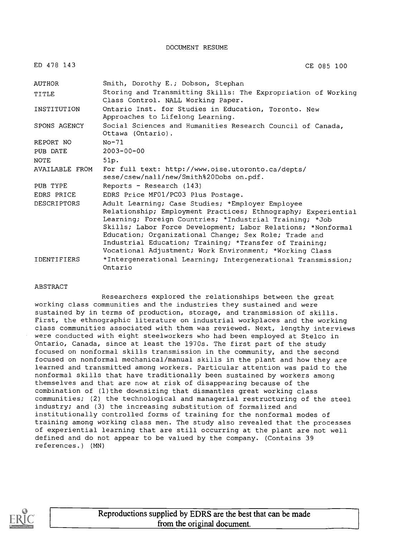DOCUMENT RESUME

| ED 478 143         | CE 085 100                                                                                                                                                                                                                                 |
|--------------------|--------------------------------------------------------------------------------------------------------------------------------------------------------------------------------------------------------------------------------------------|
| AUTHOR             | Smith, Dorothy E.; Dobson, Stephan                                                                                                                                                                                                         |
| TITLE              | Storing and Transmitting Skills: The Expropriation of Working<br>Class Control. NALL Working Paper.                                                                                                                                        |
| INSTITUTION        | Ontario Inst. for Studies in Education, Toronto. New<br>Approaches to Lifelong Learning.                                                                                                                                                   |
| SPONS AGENCY       | Social Sciences and Humanities Research Council of Canada,<br>Ottawa (Ontario).                                                                                                                                                            |
| REPORT NO          | $No-71$                                                                                                                                                                                                                                    |
| PUB DATE           | $2003 - 00 - 00$                                                                                                                                                                                                                           |
| <b>NOTE</b>        | 51p.                                                                                                                                                                                                                                       |
| AVAILABLE FROM     | For full text: http://www.oise.utoronto.ca/depts/<br>sese/csew/nall/new/Smith%20Dobs on.pdf.                                                                                                                                               |
| PUB TYPE           | Reports - Research (143)                                                                                                                                                                                                                   |
| EDRS PRICE         | EDRS Price MF01/PC03 Plus Postage.                                                                                                                                                                                                         |
| <b>DESCRIPTORS</b> | Adult Learning; Case Studies; *Employer Employee<br>Relationship; Employment Practices; Ethnography; Experiential<br>Learning; Foreign Countries; *Industrial Training; *Job                                                               |
|                    | Skills; Labor Force Development; Labor Relations; *Nonformal<br>Education; Organizational Change; Sex Role; Trade and<br>Industrial Education; Training; *Transfer of Training;<br>Vocational Adjustment; Work Environment; *Working Class |
| <b>IDENTIFIERS</b> | *Intergenerational Learning; Intergenerational Transmission;<br>Ontario                                                                                                                                                                    |

#### ABSTRACT

Researchers explored the relationships between the great working class communities and the industries they sustained and were sustained by in terms of production, storage, and transmission of skills. First, the ethnographic literature on industrial workplaces and the working class communities associated with them was reviewed. Next, lengthy interviews were conducted with eight steelworkers who had been employed at Stelco in Ontario, Canada, since at least the 1970s. The first part of the study focused on nonformal skills transmission in the community, and the second focused on nonformal mechanical/manual skills in the plant and how they are learned and transmitted among workers. Particular attention was paid to the nonformal skills that have traditionally been sustained by workers among themselves and that are now at risk of disappearing because of the combination of (1)the downsizing that dismantles great working class communities; (2) the technological and managerial restructuring of the steel industry; and (3) the increasing substitution of formalized and institutionally controlled forms of training for the nonformal modes of training among working class men. The study also revealed that the processes of experiential learning that are still occurring at the plant are not well defined and do not appear to be valued by the company. (Contains 39 references.) (MN)

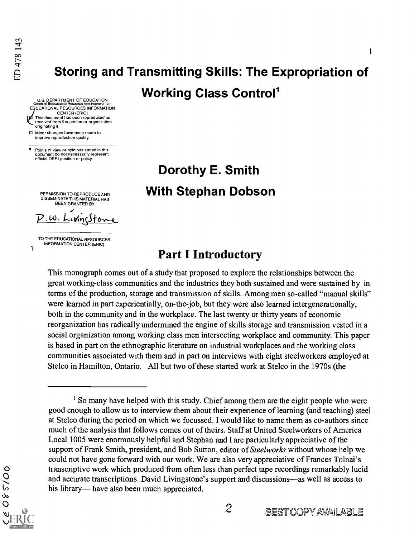# $\frac{dS}{dt}$ <br> $\frac{dS}{dt}$  Storing and Transmitting Skills: The Expropriation of

**Working Class Control** 

U.S. DEPARTMENT OF EDUCATION EDUCATIONAL RESOURCES INFORMATION CENTER (ERIC) This document has been reproduced as received from the person or organization originating it.

Minor changes have been made to improve reproduction quality.

Points of view or opinions stated in this document do not necessarily represent official OERI position or policy.

> PERMISSION TO REPRODUCE AND DISSEMINATE THIS MATERIAL HAS BEEN GRANTED BY

.W. LivingStone

1

## Dorothy E. Smith With Stephan Dobson

## Part I Introductory

This monograph comes out of a study that proposed to explore the relationships between the great working-class communities and the industries they both sustained and were sustained by in terms of the production, storage and transmission of skills. Among men so-called "manual skills" were learned in part experientially, on-the-job, but they were also learned intergenerationally, both in the community and in the workplace. The last twenty or thirty years of economic reorganization has radically undermined the engine of skills storage and transmission vested in a social organization among working class men intersecting workplace and community. This paper is based in part on the ethnographic literature on industrial workplaces and the working class communities associated with them and in part on interviews with eight steelworkers employed at Stelco in Hamilton, Ontario. All but two of these started work at Stelco in the 1970s (the

TO THE EDUCATIONAL RESOURCES INFORMATION CENTER (ERIC)

<sup>&</sup>lt;sup>1</sup> So many have helped with this study. Chief among them are the eight people who were good enough to allow us to interview them about their experience of learning (and teaching) steel at Stelco during the period on which we focussed. I would like to name them as co-authors since much of the analysis that follows comes out of theirs. Staff at United Steelworkers of America Local 1005 were enormously helpful and Stephan and I are particularly appreciative of the support of Frank Smith, president, and Bob Sutton, editor of *Steelworks* without whose help we could not have gone forward with our work. We are also very appreciative of Frances Tolnai's transcriptive work which produced from often less than perfect tape recordings remarkably lucid and accurate transcriptions. David Livingstone's support and discussions—as well as access to his library— have also been much appreciated.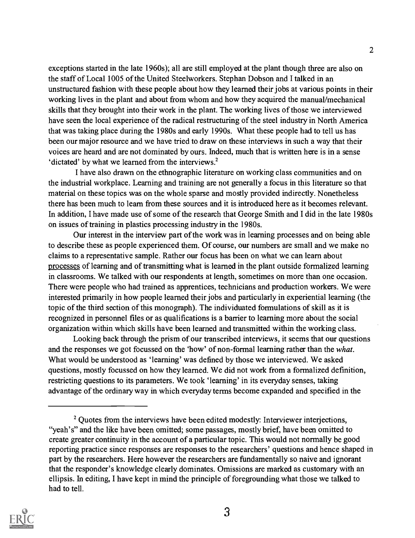exceptions started in the late 1960s); all are still employed at the plant though three are also on the staff of Local 1005 of the United Steelworkers. Stephan Dobson and I talked in an unstructured fashion with these people about how they learned their jobs at various points in their working lives in the plant and about from whom and how they acquired the manual/mechanical skills that they brought into their work in the plant. The working lives of those we interviewed have seen the local experience of the radical restructuring of the steel industry in North America that was taking place during the 1980s and early 1990s. What these people had to tell us has been our major resource and we have tried to draw on these interviews in such a way that their voices are heard and are not dominated by ours. Indeed, much that is written here is in a sense `dictated' by what we learned from the interviews.'

I have also drawn on the ethnographic literature on working class communities and on the industrial workplace. Learning and training are not generally a focus in this literature so that material on these topics was on the whole sparse and mostly provided indirectly. Nonetheless there has been much to learn from these sources and it is introduced here as it becomes relevant. In addition, I have made use of some of the research that George Smith and I did in the late 1980s on issues of training in plastics processing industry in the 1980s.

Our interest in the interview part of the work was in learning processes and on being able to describe these as people experienced them. Of course, our numbers are small and we make no claims to a representative sample. Rather our focus has been on what we can learn about processes of learning and of transmitting what is learned in the plant outside formalized learning in classrooms. We talked with our respondents at length, sometimes on more than one occasion. There were people who had trained as apprentices, technicians and production workers. We were interested primarily in how people learned their jobs and particularly in experiential learning (the topic of the third section of this monograph). The individuated formulations of skill as it is recognized in personnel files or as qualifications is a barrier to learning more about the social organization within which skills have been learned and transmitted within the working class.

Looking back through the prism of our transcribed interviews, it seems that our questions and the responses we got focussed on the 'how' of non-formal learning rather than the what. What would be understood as 'learning' was defined by those we interviewed. We asked questions, mostly focussed on how they learned. We did not work from a formalized definition, restricting questions to its parameters. We took 'learning' in its everyday senses, taking advantage of the ordinary way in which everyday terms become expanded and specified in the

<sup>&</sup>lt;sup>2</sup> Ouotes from the interviews have been edited modestly: Interviewer interjections, "yeah's" and the like have been omitted; some passages, mostly brief, have been omitted to create greater continuity in the account of a particular topic. This would not normally be good reporting practice since responses are responses to the researchers' questions and hence shaped in part by the researchers. Here however the researchers are fundamentally so naive and ignorant that the responder's knowledge clearly dominates. Omissions are marked as customary with an ellipsis. In editing, I have kept in mind the principle of foregrounding what those we talked to had to tell.

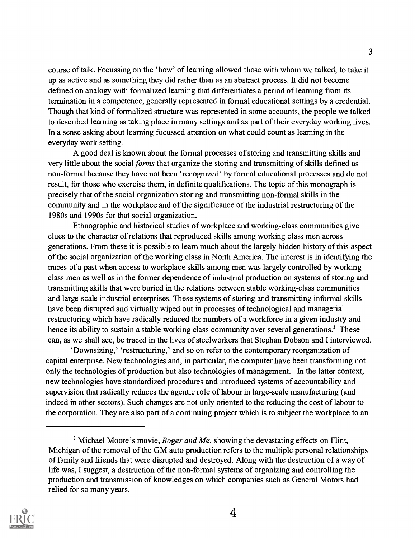course of talk. Focussing on the 'how' of learning allowed those with whom we talked, to take it up as active and as something they did rather than as an abstract process. It did not become defined on analogy with formalized learning that differentiates a period of learning from its termination in a competence, generally represented in formal educational settings by a credential. Though that kind of formalized structure was represented in some accounts, the people we talked to described learning as taking place in many settings and as part of their everyday working lives. In a sense asking about learning focussed attention on what could count as learning in the everyday work setting.

A good deal is known about the formal processes of storing and transmitting skills and very little about the social forms that organize the storing and transmitting of skills defined as non-formal because they have not been 'recognized' by formal educational processes and do not result, for those who exercise them, in definite qualifications. The topic of this monograph is precisely that of the social organization storing and transmitting non-formal skills in the community and in the workplace and of the significance of the industrial restructuring of the 1980s and 1990s for that social organization.

Ethnographic and historical studies of workplace and working-class communities give clues to the character of relations that reproduced skills among working class men across generations. From these it is possible to learn much about the largely hidden history of this aspect of the social organization of the working class in North America. The interest is in identifying the traces of a past when access to workplace skills among men was largely controlled by workingclass men as well as in the former dependence of industrial production on systems of storing and transmitting skills that were buried in the relations between stable working-class communities and large-scale industrial enterprises. These systems of storing and transmitting informal skills have been disrupted and virtually wiped out in processes of technological and managerial restructuring which have radically reduced the numbers of a workforce in a given industry and hence its ability to sustain a stable working class community over several generations.<sup>3</sup> These can, as we shall see, be traced in the lives of steelworkers that Stephan Dobson and I interviewed.

`Downsizing,' restructuring,' and so on refer to the contemporary reorganization of capital enterprise. New technologies and, in particular, the computer have been transforming not only the technologies of production but also technologies of management. In the latter context, new technologies have standardized procedures and introduced systems of accountability and supervision that radically reduces the agentic role of labour in large-scale manufacturing (and indeed in other sectors). Such changes are not only oriented to the reducing the cost of labour to the corporation. They are also part of a continuing project which is to subject the workplace to an

<sup>&</sup>lt;sup>3</sup> Michael Moore's movie, *Roger and Me*, showing the devastating effects on Flint, Michigan of the removal of the GM auto production refers to the multiple personal relationships of family and friends that were disrupted and destroyed. Along with the destruction of a way of life was, I suggest, a destruction of the non-formal systems of organizing and controlling the production and transmission of knowledges on which companies such as General Motors had relied for so many years.

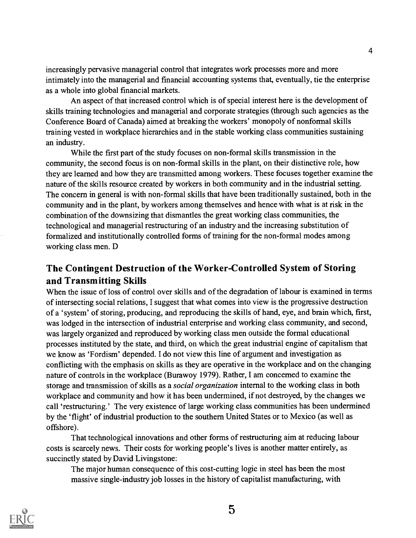increasingly pervasive managerial control that integrates work processes more and more intimately into the managerial and financial accounting systems that, eventually, tie the enterprise as a whole into global financial markets.

An aspect of that increased control which is of special interest here is the development of skills training technologies and managerial and corporate strategies (through such agencies as the Conference Board of Canada) aimed at breaking the workers' monopoly of nonformal skills training vested in workplace hierarchies and in the stable working class communities sustaining an industry.

While the first part of the study focuses on non-formal skills transmission in the community, the second focus is on non-formal skills in the plant, on their distinctive role, how they are learned and how they are transmitted among workers. These focuses together examine the nature of the skills resource created by workers in both community and in the industrial setting. The concern in general is with non-formal skills that have been traditionally sustained, both in the community and in the plant, by workers among themselves and hence with what is at risk in the combination of the downsizing that dismantles the great working class communities, the technological and managerial restructuring of an industry and the increasing substitution of formalized and institutionally controlled forms of training for the non-formal modes among working class men. D

### The Contingent Destruction of the Worker-Controlled System of Storing and Transmitting Skills

When the issue of loss of control over skills and of the degradation of labour is examined in terms of intersecting social relations, I suggest that what comes into view is the progressive destruction of a 'system' of storing, producing, and reproducing the skills of hand, eye, and brain which, first, was lodged in the intersection of industrial enterprise and working class community, and second, was largely organized and reproduced by working class men outside the formal educational processes instituted by the state, and third, on which the great industrial engine of capitalism that we know as 'Fordism' depended. I do not view this line of argument and investigation as conflicting with the emphasis on skills as they are operative in the workplace and on the changing nature of controls in the workplace (Burawoy 1979). Rather, I am concerned to examine the storage and transmission of skills as a *social organization* internal to the working class in both workplace and community and how it has been undermined, if not destroyed, by the changes we call 'restructuring.' The very existence of large working class communities has been undermined by the 'flight' of industrial production to the southern United States or to Mexico (as well as offshore).

That technological innovations and other forms of restructuring aim at reducing labour costs is scarcely news. Their costs for working people's lives is another matter entirely, as succinctly stated by David Livingstone:

The major human consequence of this cost-cutting logic in steel has been the most massive single-industry job losses in the history of capitalist manufacturing, with

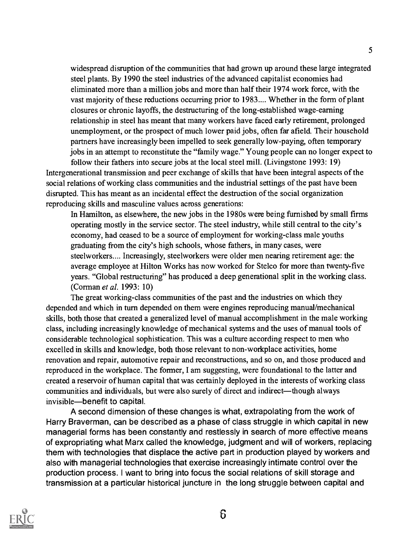widespread disruption of the communities that had grown up around these large integrated steel plants. By 1990 the steel industries of the advanced capitalist economies had eliminated more than a million jobs and more than half their 1974 work force, with the vast majority of these reductions occurring prior to 1983.... Whether in the form of plant closures or chronic layoffs, the destructuring of the long-established wage-earning relationship in steel has meant that many workers have faced early retirement, prolonged unemployment, or the prospect of much lower paid jobs, often far afield. Their household partners have increasingly been impelled to seek generally low-paying, often temporary jobs in an attempt to reconstitute the "family wage." Young people can no longer expect to

follow their fathers into secure jobs at the local steel mill. (Livingstone 1993: 19) Intergenerational transmission and peer exchange of skills that have been integral aspects of the social relations of working class communities and the industrial settings of the past have been disrupted. This has meant as an incidental effect the destruction of the social organization reproducing skills and masculine values across generations:

In Hamilton, as elsewhere, the new jobs in the 1980s were being furnished by small firms operating mostly in the service sector. The steel industry, while still central to the city's economy, had ceased to be a source of employment for working-class male youths graduating from the city's high schools, whose fathers, in many cases, were steelworkers.... Increasingly, steelworkers were older men nearing retirement age: the average employee at Hilton Works has now worked for Stelco for more than twenty-five years. "Global restructuring" has produced a deep generational split in the working class. (Corman et al. 1993: 10)

The great working-class communities of the past and the industries on which they depended and which in turn depended on them were engines reproducing manual/mechanical skills, both those that created a generalized level of manual accomplishment in the male working class, including increasingly knowledge of mechanical systems and the uses of manual tools of considerable technological sophistication. This was a culture according respect to men who excelled in skills and knowledge, both those relevant to non-workplace activities, home renovation and repair, automotive repair and reconstructions, and so on, and those produced and reproduced in the workplace. The former, I am suggesting, were foundational to the latter and created a reservoir of human capital that was certainly deployed in the interests of working class communities and individuals, but were also surely of direct and indirect—though always invisible—benefit to capital.

A second dimension of these changes is what, extrapolating from the work of Harry Braverman, can be described as a phase of class struggle in which capital in new managerial forms has been constantly and restlessly in search of more effective means of expropriating what Marx called the knowledge, judgment and will of workers, replacing them with technologies that displace the active part in production played by workers and also with managerial technologies that exercise increasingly intimate control over the production process. I want to bring into focus the social relations of skill storage and transmission at a particular historical juncture in the long struggle between capital and

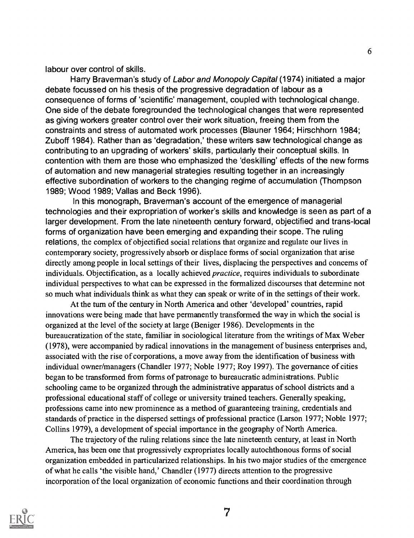labour over control of skills.

Harry Braverman's study of Labor and Monopoly Capital (1974) initiated a major debate focussed on his thesis of the progressive degradation of labour as a consequence of forms of 'scientific' management, coupled with technological change. One side of the debate foregrounded the technological changes that were represented as giving workers greater control over their work situation, freeing them from the constraints and stress of automated work processes (Blauner 1964; Hirschhorn 1984; Zuboff 1984). Rather than as 'degradation,' these writers saw technological change as contributing to an upgrading of workers' skills, particularly their conceptual skills. In contention with them are those who emphasized the 'deskilling' effects of the new forms of automation and new managerial strategies resulting together in an increasingly effective subordination of workers to the changing regime of accumulation (Thompson 1989; Wood 1989; Vallas and Beck 1996).

In this monograph, Braverman's account of the emergence of managerial technologies and their expropriation of worker's skills and knowledge is seen as part of a larger development. From the late nineteenth century forward, objectified and trans-local forms of organization have been emerging and expanding their scope. The ruling relations, the complex of objectified social relations that organize and regulate our lives in contemporary society, progressively absorb or displace forms of social organization that arise directly among people in local settings of their lives, displacing the perspectives and concerns of individuals. Objectification, as a locally achieved practice, requires individuals to subordinate individual perspectives to what can be expressed in the formalized discourses that determine not so much what individuals think as what they can speak or write of in the settings of their work.

At the turn of the century in North America and other 'developed' countries, rapid innovations were being made that have permanently transformed the way in which the social is organized at the level of the society at large (Beniger 1986). Developments in the bureaucratization of the state, familiar in sociological literature from the writings of Max Weber (1978), were accompanied by radical innovations in the management of business enterprises and, associated with the rise of corporations, a move away from the identification of business with individual owner/managers (Chandler 1977; Noble 1977; Roy 1997). The governance of cities began to be transformed from forms of patronage to bureaucratic administrations. Public schooling came to be organized through the administrative apparatus of school districts and a professional educational staff of college or university trained teachers. Generally speaking, professions came into new prominence as a method of guaranteeing training, credentials and standards of practice in the dispersed settings of professional practice (Larson 1977; Noble 1977; Collins 1979), a development of special importance in the geography of North America.

The trajectory of the ruling relations since the late nineteenth century, at least in North America, has been one that progressively expropriates locally autochthonous forms of social organization embedded in particularized relationships. In his two major studies of the emergence of what he calls 'the visible hand,' Chandler (1977) directs attention to the progressive incorporation of the local organization of economic functions and their coordination through

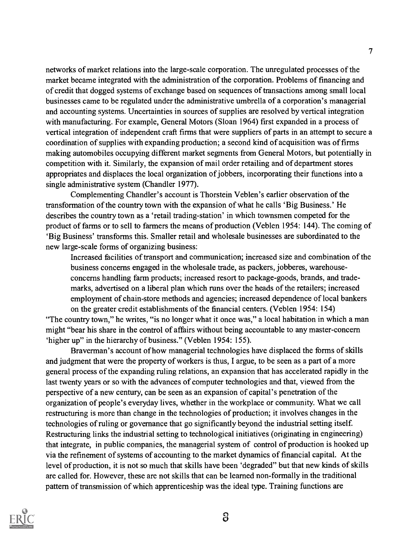networks of market relations into the large-scale corporation. The unregulated processes of the market became integrated with the administration of the corporation. Problems of financing and of credit that dogged systems of exchange based on sequences of transactions among small local businesses came to be regulated under the administrative umbrella of a corporation's managerial and accounting systems. Uncertainties in sources of supplies are resolved by vertical integration with manufacturing. For example, General Motors (Sloan 1964) first expanded in a process of vertical integration of independent craft firms that were suppliers of parts in an attempt to secure a coordination of supplies with expanding production; a second kind of acquisition was of firms making automobiles occupying different market segments from General Motors, but potentially in competition with it. Similarly, the expansion of mail order retailing and of department stores appropriates and displaces the local organization of jobbers, incorporating their functions into a single administrative system (Chandler 1977).

Complementing Chandler's account is Thorstein Veblen's earlier observation of the transformation of the country town with the expansion of what he calls 'Big Business.' He describes the country town as a 'retail trading-station' in which townsmen competed for the product of farms or to sell to farmers the means of production (Veblen 1954: 144). The coming of `Big Business' transforms this. Smaller retail and wholesale businesses are subordinated to the new large-scale forms of organizing business:

Increased facilities of transport and communication; increased size and combination of the business concerns engaged in the wholesale trade, as packers, jobberes, warehouseconcerns handling farm products; increased resort to package-goods, brands, and trademarks, advertised on a liberal plan which runs over the heads of the retailers; increased employment of chain-store methods and agencies; increased dependence of local bankers on the greater credit establishments of the financial centers. (Veblen 1954: 154)

"The country town," he writes, "is no longer what it once was," a local habitation in which a man might "bear his share in the control of affairs without being accountable to any master-concern 'higher up" in the hierarchy of business." (Veblen 1954: 155).

Braverman's account of how managerial technologies have displaced the forms of skills and judgment that were the property of workers is thus, I argue, to be seen as a part of a more general process of the expanding ruling relations, an expansion that has accelerated rapidly in the last twenty years or so with the advances of computer technologies and that, viewed from the perspective of a new century, can be seen as an expansion of capital's penetration of the organization of people's everyday lives, whether in the workplace or community. What we call restructuring is more than change in the technologies of production; it involves changes in the technologies of ruling or governance that go significantly beyond the industrial setting itself Restructuring links the industrial setting to technological initiatives (originating in engineering) that integrate, in public companies, the managerial system of control of production is hooked up via the refinement of systems of accounting to the market dynamics of financial capital. At the level of production, it is not so much that skills have been 'degraded" but that new kinds of skills are called for. However, these are not skills that can be learned non-formally in the traditional pattern of transmission of which apprenticeship was the ideal type. Training functions are

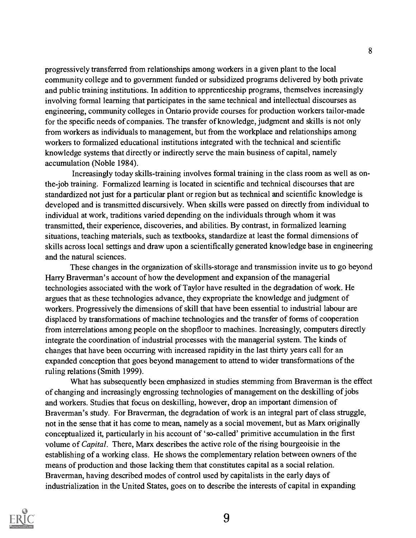progressively transferred from relationships among workers in a given plant to the local community college and to government funded or subsidized programs delivered by both private and public training institutions. In addition to apprenticeship programs, themselves increasingly involving formal learning that participates in the same technical and intellectual discourses as engineering, community colleges in Ontario provide courses for production workers tailor-made for the specific needs of companies. The transfer of knowledge, judgment and skills is not only from workers as individuals to management, but from the workplace and relationships among workers to formalized educational institutions integrated with the technical and scientific knowledge systems that directly or indirectly serve the main business of capital, namely accumulation (Noble 1984).

Increasingly today skills-training involves formal training in the class room as well as onthe-job training. Formalized learning is located in scientific and technical discourses that are standardized not just for a particular plant or region but as technical and scientific knowledge is developed and is transmitted discursively. When skills were passed on directly from individual to individual at work, traditions varied depending on the individuals through whom it was transmitted, their experience, discoveries, and abilities. By contrast, in formalized learning situations, teaching materials, such as textbooks, standardize at least the formal dimensions of skills across local settings and draw upon a scientifically generated knowledge base in engineering and the natural sciences.

These changes in the organization of skills-storage and transmission invite us to go beyond Harry Braverman's account of how the development and expansion of the managerial technologies associated with the work of Taylor have resulted in the degradation of work. He argues that as these technologies advance, they expropriate the knowledge and judgment of workers. Progressively the dimensions of skill that have been essential to industrial labour are displaced by transformations of machine technologies and the transfer of forms of cooperation from interrelations among people on the shopfloor to machines. Increasingly, computers directly integrate the coordination of industrial processes with the managerial system. The kinds of changes that have been occurring with increased rapidity in the last thirty years call for an expanded conception that goes beyond management to attend to wider transformations of the ruling relations (Smith 1999).

What has subsequently been emphasized in studies stemming from Braverman is the effect of changing and increasingly engrossing technologies of management on the deskilling of jobs and workers. Studies that focus on deskilling, however, drop an important dimension of Braverman's study. For Braverman, the degradation of work is an integral part of class struggle, not in the sense that it has come to mean, namely as a social movement, but as Marx originally conceptualized it, particularly in his account of 'so-called' primitive accumulation in the first volume of Capital. There, Marx describes the active role of the rising bourgeoisie in the establishing of a working class. He shows the complementary relation between owners of the means of production and those lacking them that constitutes capital as a social relation. Braverman, having described modes of control used by capitalists in the early days of industrialization in the United States, goes on to describe the interests of capital in expanding

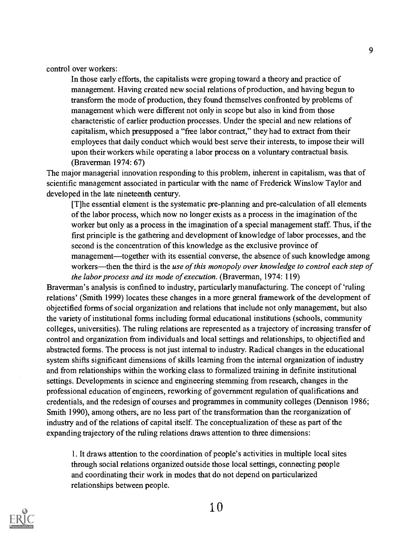control over workers:

In those early efforts, the capitalists were groping toward a theory and practice of management. Having created new social relations of production, and having begun to transform the mode of production, they found themselves confronted by problems of management which were different not only in scope but also in kind from those characteristic of earlier production processes. Under the special and new relations of capitalism, which presupposed a "free labor contract," they had to extract from their employees that daily conduct which would best serve their interests, to impose their will upon their workers while operating a labor process on a voluntary contractual basis. (Braverman 1974: 67)

The major managerial innovation responding to this problem, inherent in capitalism, was that of scientific management associated in particular with the name of Frederick Winslow Taylor and developed in the late nineteenth century.

[T]he essential element is the systematic pre-planning and pre-calculation of all elements of the labor process, which now no longer exists as a process in the imagination of the worker but only as a process in the imagination of a special management staff. Thus, if the first principle is the gathering and development of knowledge of labor processes, and the second is the concentration of this knowledge as the exclusive province of management—together with its essential converse, the absence of such knowledge among workers—then the third is the use of this monopoly over knowledge to control each step of the labor process and its mode of execution. (Braverman, 1974: 119)

Braverman's analysis is confined to industry, particularly manufacturing. The concept of 'ruling relations' (Smith 1999) locates these changes in a more general framework of the development of objectified forms of social organization and relations that include not only management, but also the variety of institutional forms including formal educational institutions (schools, community colleges, universities). The ruling relations are represented as a trajectory of increasing transfer of control and organization from individuals and local settings and relationships, to objectified and abstracted forms. The process is not just internal to industry. Radical changes in the educational system shifts significant dimensions of skills learning from the internal organization of industry and from relationships within the working class to formalized training in definite institutional settings. Developments in science and engineering stemming from research, changes in the professional education of engineers, reworking of government regulation of qualifications and credentials, and the redesign of courses and programmes in community colleges (Dennison 1986; Smith 1990), among others, are no less part of the transformation than the reorganization of industry and of the relations of capital itself. The conceptualization of these as part of the expanding trajectory of the ruling relations draws attention to three dimensions:

1. It draws attention to the coordination of people's activities in multiple local sites through social relations organized outside those local settings, connecting people and coordinating their work in modes that do not depend on particularized relationships between people.

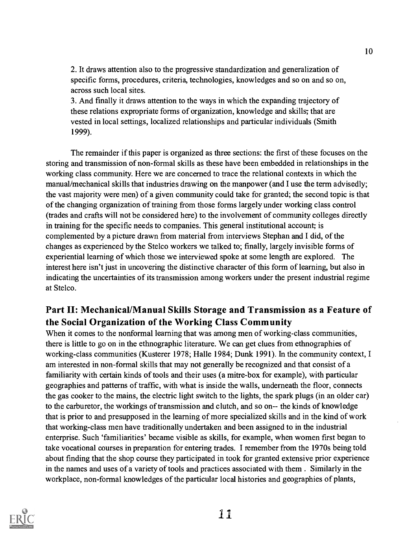2. It draws attention also to the progressive standardization and generalization of specific forms, procedures, criteria, technologies, knowledges and so on and so on, across such local sites.

3. And finally it draws attention to the ways in which the expanding trajectory of these relations expropriate forms of organization, knowledge and skills; that are vested in local settings, localized relationships and particular individuals (Smith 1999).

The remainder if this paper is organized as three sections: the first of these focuses on the storing and transmission of non-formal skills as these have been embedded in relationships in the working class community. Here we are concerned to trace the relational contexts in which the manual/mechanical skills that industries drawing on the manpower (and I use the term advisedly; the vast majority were men) of a given community could take for granted; the second topic is that of the changing organization of training from those forms largely under working class control (trades and crafts will not be considered here) to the involvement of community colleges directly in training for the specific needs to companies. This general institutional account; is complemented by a picture drawn from material from interviews Stephan and I did, of the changes as experienced by the Stelco workers we talked to; finally, largely invisible forms of experiential learning of which those we interviewed spoke at some length are explored. The interest here isn't just in uncovering the distinctive character of this form of learning, but also in indicating the uncertainties of its transmission among workers under the present industrial regime at Stelco.

## Part II: Mechanical/Manual Skills Storage and Transmission as a Feature of the Social Organization of the Working Class Community

When it comes to the nonformal learning that was among men of working-class communities, there is little to go on in the ethnographic literature. We can get clues from ethnographies of working-class communities (Kusterer 1978; Halle 1984; Dunk 1991). In the community context, I am interested in non-formal skills that may not generally be recognized and that consist of a familiarity with certain kinds of tools and their uses (a mitre-box for example), with particular geographies and patterns of traffic, with what is inside the walls, underneath the floor, connects the gas cooker to the mains, the electric light switch to the lights, the spark plugs (in an older car) to the carburetor, the workings of transmission and clutch, and so on-- the kinds of knowledge that is prior to and presupposed in the learning of more specialized skills and in the kind of work that working-class men have traditionally undertaken and been assigned to in the industrial enterprise. Such 'familiarities' became visible as skills, for example, when women first began to take vocational courses in preparation for entering trades. I remember from the 1970s being told about finding that the shop course they participated in took for granted extensive prior experience in the names and uses of a variety of tools and practices associated with them . Similarly in the workplace, non-formal knowledges of the particular local histories and geographies of plants,

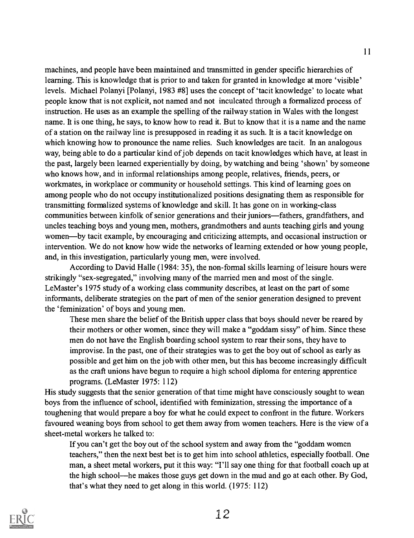machines, and people have been maintained and transmitted in gender specific hierarchies of learning. This is knowledge that is prior to and taken for granted in knowledge at more 'visible' levels. Michael Polanyi [Polanyi, 1983 #8] uses the concept of 'tacit knowledge' to locate what people know that is not explicit, not named and not inculcated through a formalized process of instruction. He uses as an example the spelling of the railway station in Wales with the longest name. It is one thing, he says, to know how to read it. But to know that it is a name and the name of a station on the railway line is presupposed in reading it as such. It is a tacit knowledge on which knowing how to pronounce the name relies. Such knowledges are tacit. In an analogous way, being able to do a particular kind of job depends on tacit knowledges which have, at least in the past, largely been learned experientially by doing, by watching and being 'shown' by someone who knows how, and in informal relationships among people, relatives, friends, peers, or workmates, in workplace or community or household settings. This kind of learning goes on among people who do not occupy institutionalized positions designating them as responsible for transmitting formalized systems of knowledge and skill. It has gone on in working-class communities between kinfolk of senior generations and their juniors—fathers, grandfathers, and uncles teaching boys and young men, mothers, grandmothers and aunts teaching girls and young women—by tacit example, by encouraging and criticizing attempts, and occasional instruction or intervention. We do not know how wide the networks of learning extended or how young people, and, in this investigation, particularly young men, were involved.

According to David Halle (1984: 35), the non-formal skills learning of leisure hours were strikingly "sex-segregated," involving many of the married men and most of the single. LeMaster's 1975 study of a working class community describes, at least on the part of some informants, deliberate strategies on the part of men of the senior generation designed to prevent the 'feminization' of boys and young men.

These men share the belief of the British upper class that boys should never be reared by their mothers or other women, since they will make a "goddam sissy" of him. Since these men do not have the English boarding school system to rear their sons, they have to improvise. In the past, one of their strategies was to get the boy out of school as early as possible and get him on the job with other men, but this has become increasingly difficult as the craft unions have begun to require a high school diploma for entering apprentice programs. (LeMaster 1975: 112)

His study suggests that the senior generation of that time might have consciously sought to wean boys from the influence of school, identified with feminization, stressing the importance of a toughening that would prepare a boy for what he could expect to confront in the future. Workers favoured weaning boys from school to get them away from women teachers. Here is the view of a sheet-metal workers he talked to:

If you can't get the boy out of the school system and away from the "goddam women teachers," then the next best bet is to get him into school athletics, especially football. One man, a sheet metal workers, put it this way: "I'll say one thing for that football coach up at the high school—he makes those guys get down in the mud and go at each other. By God, that's what they need to get along in this world. (1975: 112)

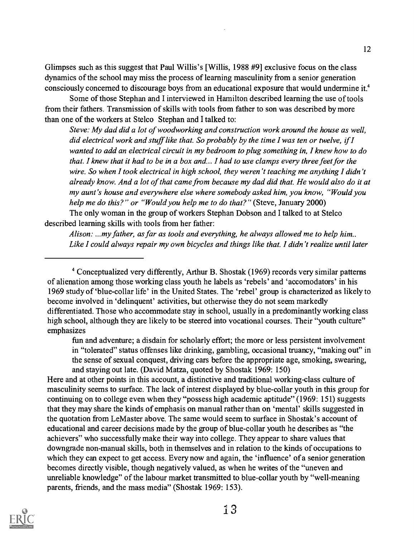Glimpses such as this suggest that Paul Willis's [Willis, 1988 #9] exclusive focus on the class dynamics of the school may miss the process of learning masculinity from a senior generation consciously concerned to discourage boys from an educational exposure that would undermine it.<sup>4</sup>

Some of those Stephan and I interviewed in Hamilton described learning the use of tools from their fathers. Transmission of skills with tools from father to son was described by more than one of the workers at Stelco Stephan and I talked to:

Steve: My dad did a lot of woodworking and construction work around the house as well, did electrical work and stuff like that. So probably by the time I was ten or twelve, if I wanted to add an electrical circuit in my bedroom to plug something in, I knew how to do that. I knew that it had to be in a box and... I had to use clamps every three feet for the wire. So when I took electrical in high school, they weren't teaching me anything I didn't already know. And a lot of that came from because my dad did that. He would also do it at my aunt's house and everywhere else where somebody asked him, you know, "Would you help me do this?" or "Would you help me to do that?" (Steve, January 2000)

The only woman in the group of workers Stephan Dobson and I talked to at Stelco described learning skills with tools from her father:

Alison: ...my father, as far as tools and everything, he always allowed me to help him.. Like I could always repair my own bicycles and things like that. I didn't realize until later

fun and adventure; a disdain for scholarly effort; the more or less persistent involvement in "tolerated" status offenses like drinking, gambling, occasional truancy, "making out" in the sense of sexual conquest, driving cars before the appropriate age, smoking, swearing, and staying out late. (David Matza, quoted by Shostak 1969: 150)

Here and at other points in this account, a distinctive and traditional working-class culture of masculinity seems to surface. The lack of interest displayed by blue-collar youth in this group for continuing on to college even when they "possess high academic aptitude" (1969: 151) suggests that they may share the kinds of emphasis on manual rather than on 'mental' skills suggested in the quotation from LeMaster above. The same would seem to surface in Shostak's account of educational and career decisions made by the group of blue-collar youth he describes as "the achievers" who successfully make their way into college. They appear to share values that downgrade non-manual skills, both in themselves and in relation to the kinds of occupations to which they can expect to get access. Every now and again, the 'influence' of a senior generation becomes directly visible, though negatively valued, as when he writes of the "uneven and unreliable knowledge" of the labour market transmitted to blue-collar youth by "well-meaning parents, friends, and the mass media" (Shostak 1969: 153).



Conceptualized very differently, Arthur B. Shostak (1969) records very similar patterns of alienation among those working class youth he labels as 'rebels' and `accomodators' in his 1969 study of 'blue-collar life' in the United States. The 'rebel' group is characterized as likely to become involved in 'delinquent' activities, but otherwise they do not seem markedly differentiated. Those who accommodate stay in school, usually in a predominantly working class high school, although they are likely to be steered into vocational courses. Their "youth culture" emphasizes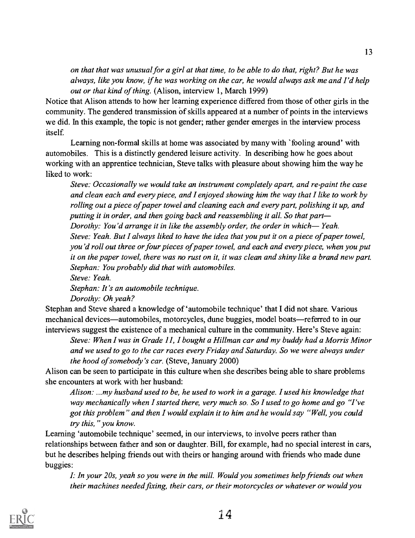on that that was unusual for a girl at that time, to be able to do that, right? But he was always, like you know, if he was working on the car, he would always ask me and I'd help out or that kind of thing. (Alison, interview 1, March 1999)

Notice that Alison attends to how her learning experience differed from those of other girls in the community. The gendered transmission of skills appeared at a number of points in the interviews we did. In this example, the topic is not gender; rather gender emerges in the interview process itself.

Learning non-formal skills at home was associated by many with 'fooling around' with automobiles. This is a distinctly gendered leisure activity. In describing how he goes about working with an apprentice technician, Steve talks with pleasure about showing him the way he liked to work:

Steve: Occasionally we would take an instrument completely apart, and re-paint the case and clean each and every piece, and I enjoyed showing him the way that I like to work by rolling out a piece of paper towel and cleaning each and every part, polishing it up, and putting it in order, and then going back and reassembling it all. So that part Dorothy: You'd arrange it in like the assembly order, the order in which—Yeah. Steve: Yeah. But I always liked to have the idea that you put it on a piece of paper towel, you'd roll out three or four pieces of paper towel, and each and every piece, when you put it on the paper towel, there was no rust on it, it was clean and shiny like a brand new part. Stephan: You probably did that with automobiles.

Steve: Yeah.

Stephan: It's an automobile technique.

Dorothy: Oh yeah?

Stephan and Steve shared a knowledge of 'automobile technique' that I did not share. Various mechanical devices—automobiles, motorcycles, dune buggies, model boats—referred to in our interviews suggest the existence of a mechanical culture in the community. Here's Steve again:

Steve: When I was in Grade 11, I bought a Hillman car and my buddy had a Morris Minor and we used to go to the car races every Friday and Saturday. So we were always under the hood of somebody's car. (Steve, January 2000)

Alison can be seen to participate in this culture when she describes being able to share problems she encounters at work with her husband:

Alison: ...my husband used to be, he used to work in a garage. I used his knowledge that way mechanically when I started there, very much so. So I used to go home and go "I've got this problem" and then I would explain it to him and he would say "Well, you could try this," you know.

Learning 'automobile technique' seemed, in our interviews, to involve peers rather than relationships between father and son or daughter. Bill, for example, had no special interest in cars, but he describes helping friends out with theirs or hanging around with friends who made dune buggies:

I: In your 20s, yeah so you were in the mill. Would you sometimes help friends out when their machines needed fixing, their cars, or their motorcycles or whatever or would you

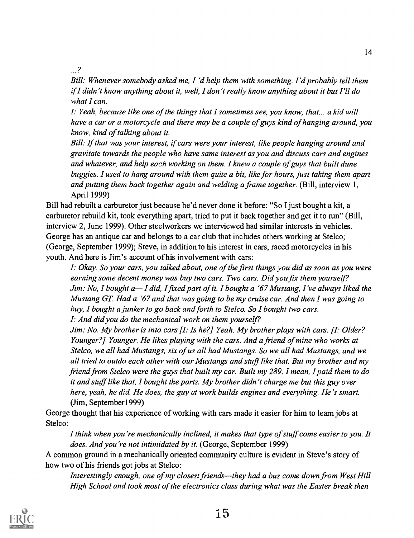...7

Bill: Whenever somebody asked me, I 'd help them with something. I'd probably tell them if I didn't know anything about it, well, I don't really know anything about it but I'll do what I can.

I: Yeah, because like one of the things that I sometimes see, you know, that... a kid will have a car or a motorcycle and there may be a couple of guys kind of hanging around, you know, kind of talking about it.

Bill: If that was your interest, if cars were your interest, like people hanging around and gravitate towards the people who have same interest as you and discuss cars and engines and whatever, and help each working on them. I knew a couple of guys that built dune buggies. I used to hang around with them quite a bit, like for hours, just taking them apart and putting them back together again and welding a frame together. (Bill, interview 1, April 1999)

Bill had rebuilt a carburetor just because he'd never done it before: "So I just bought a kit, a carburetor rebuild kit, took everything apart, tried to put it back together and get it to run" (Bill, interview 2, June 1999). Other steelworkers we interviewed had similar interests in vehicles. George has an antique car and belongs to a car club that includes others working at Stelco; (George, September 1999); Steve, in addition to his interest in cars, raced motorcycles in his youth. And here is Jim's account of his involvement with cars:

I: Okay. So your cars, you talked about, one of the first things you did as soon as you were earning some decent money was buy two cars. Two cars. Did you fix them yourself? Jim: No, I bought  $a$ — I did, I fixed part of it. I bought a '67 Mustang, I've always liked the Mustang GT. Had a '67 and that was going to be my cruise car. And then I was going to buy, I bought a junker to go back and forth to Stelco. So I bought two cars.

I: And did you do the mechanical work on them yourself?

Jim: No. My brother is into cars  $[I: Is he?]$  Yeah. My brother plays with cars.  $[I: Older?$ Younger?] Younger. He likes playing with the cars. And a friend of mine who works at Stelco, we all had Mustangs, six of us all had Mustangs. So we all had Mustangs, and we all tried to outdo each other with our Mustangs and stuff like that. But my brother and my friend from Stelco were the guys that built my car. Built my 289. I mean, I paid them to do it and stuff like that, I bought the parts. My brother didn't charge me but this guy over here, yeah, he did. He does, the guy at work builds engines and everything. He's smart. (Jim, September1999)

George thought that his experience of working with cars made it easier for him to leam jobs at Stelco:

I think when you're mechanically inclined, it makes that type of stuff come easier to you. It does. And you're not intimidated by it. (George, September 1999)

A common ground in a mechanically oriented community culture is evident in Steve's story of how two of his friends got jobs at Stelco:

Interestingly enough, one of my closest friends—they had a bus come down from West Hill High School and took most of the electronics class during what was the Easter break then

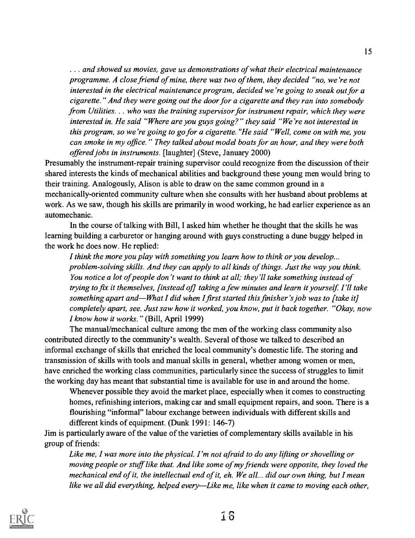. . . and showed us movies, gave us demonstrations of what their electrical maintenance programme. A close friend of mine, there was two of them, they decided "no, we're not interested in the electrical maintenance program, decided we're going to sneak out for a cigarette." And they were going out the door for a cigarette and they ran into somebody from Utilities. . . who was the training supervisor for instrument repair, which they were interested in. He said "Where are you guys going?" they said "We're not interested in this program, so we're going to go for a cigarette. "He said "Well, come on with me, you can smoke in my office." They talked about model boats for an hour, and they were both offered jobs in instruments. [laughter] (Steve, January 2000)

Presumably the instrument-repair training supervisor could recognize from the discussion of their shared interests the kinds of mechanical abilities and background these young men would bring to their training. Analogously, Alison is able to draw on the same common ground in a mechanically-oriented community culture when she consults with her husband about problems at work. As we saw, though his skills are primarily in wood working, he had earlier experience as an automechanic.

In the course of talking with Bill, I asked him whether he thought that the skills he was learning building a carburetor or hanging around with guys constructing a dune buggy helped in the work he does now. He replied:

I think the more you play with something you learn how to think or you develop... problem-solving skills. And they can apply to all kinds of things. Just the way you think. You notice a lot of people don't want to think at all; they'll take something instead of trying to fix it themselves, [instead of] taking a few minutes and learn it yourself. I'll take something apart and—What I did when I first started this finisher's job was to [take it] completely apart, see. Just saw how it worked, you know, put it back together. "Okay, now I know how it works." (Bill, April 1999)

The manual/mechanical culture among the men of the working class community also contributed directly to the community's wealth. Several of those we talked to described an informal exchange of skills that enriched the local community's domestic life. The storing and transmission of skills with tools and manual skills in general, whether among women or men, have enriched the working class communities, particularly since the success of struggles to limit the working day has meant that substantial time is available for use in and around the home.

Whenever possible they avoid the market place, especially when it comes to constructing homes, refinishing interiors, making car and small equipment repairs, and soon. There is a flourishing "informal" labour exchange between individuals with different skills and different kinds of equipment. (Dunk 1991: 146-7)

Jim is particularly aware of the value of the varieties of complementary skills available in his group of friends:

Like me, I was more into the physical. I'm not afraid to do any lifting or shovelling or moving people or stuff like that. And like some of my friends were opposite, they loved the mechanical end of it, the intellectual end of it, eh. We all... did our own thing, but I mean like we all did everything, helped every—Like me, like when it came to moving each other,

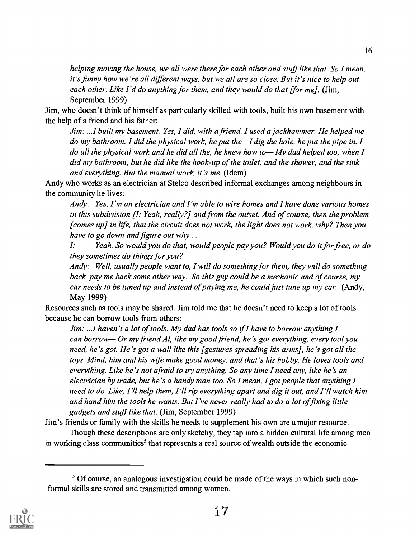helping moving the house, we all were there for each other and stuff like that. So I mean, it's funny how we're all different ways, but we all are so close. But it's nice to help out each other. Like I'd do anything for them, and they would do that [for me]. (Jim, September 1999)

Jim, who doesn't think of himself as particularly skilled with tools, built his own basement with the help of a friend and his father:

Jim: ...I built my basement. Yes, I did, with a friend. I used a jackhammer. He helped me do my bathroom. I did the physical work, he put the $-I$  dig the hole, he put the pipe in. I do all the physical work and he did all the, he knew how to— My dad helped too, when  $I$ did my bathroom, but he did like the hook-up of the toilet, and the shower, and the sink and everything. But the manual work, it's me. (Idem)

Andy who works as an electrician at Stelco described informal exchanges among neighbours in the community he lives:

Andy: Yes, I'm an electrician and I'm able to wire homes and I have done various homes in this subdivision [I: Yeah, really?] and from the outset. And of course, then the problem [comes up] in life, that the circuit does not work, the light does not work, why? Then you have to go down and figure out why....

I. Yeah. So would you do that, would people pay you? Would you do it for free, or do they sometimes do things for you?

Andy: Well, usually people want to, I will do something for them, they will do something back, pay me back some other way. So this guy could be a mechanic and of course, my car needs to be tuned up and instead of paying me, he could just tune up my car. (Andy, May 1999)

Resources such as tools may be shared. Jim told me that he doesn't need to keep a lot of tools because he can borrow tools from others:

 $Jim: ... I$  haven't a lot of tools. My dad has tools so if I have to borrow anything I can borrow— Or my friend Al, like my good friend, he's got everything, every tool you need, he's got. He's got a wall like this [gestures spreading his arms], he's got all the toys. Mind, him and his wife make good money, and that's his hobby. He loves tools and everything. Like he's not afraid to try anything. So any time I need any, like he's an electrician by trade, but he's a handy man too. So I mean, I got people that anything I need to do. Like, I'll help them, I'll rip everything apart and dig it out, and I'll watch him and hand him the tools he wants. But I've never really had to do a lot of fixing little gadgets and stuff like that. (Jim, September 1999)

Jim's friends or family with the skills he needs to supplement his own are a major resource.

Though these descriptions are only sketchy, they tap into a hidden cultural life among men in working class communities' that represents a real source of wealth outside the economic

<sup>&</sup>lt;sup>5</sup> Of course, an analogous investigation could be made of the ways in which such nonformal skills are stored and transmitted among women.

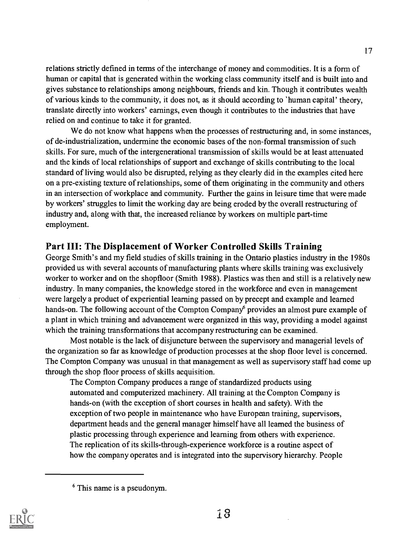relations strictly defined in terms of the interchange of money and commodities. It is a form of human or capital that is generated within the working class community itself and is built into and gives substance to relationships among neighbours, friends and kin. Though it contributes wealth of various kinds to the community, it does not, as it should according to 'human capital' theory, translate directly into workers' earnings, even though it contributes to the industries that have relied on and continue to take it for granted.

We do not know what happens when the processes of restructuring and, in some instances, of de-industrialization, undermine the economic bases of the non-formal transmission of such skills. For sure, much of the intergenerational transmission of skills would be at least attenuated and the kinds of local relationships of support and exchange of skills contributing to the local standard of living would also be disrupted, relying as they clearly did in the examples cited here on a pre-existing texture of relationships, some of them originating in the community and others in an intersection of workplace and community. Further the gains in leisure time that were made by workers' struggles to limit the working day are being eroded by the overall restructuring of industry and, along with that, the increased reliance by workers on multiple part-time employment.

#### Part III: The Displacement of Worker Controlled Skills Training

George Smith's and my field studies of skills training in the Ontario plastics industry in the 1980s provided us with several accounts of manufacturing plants where skills training was exclusively worker to worker and on the shopfloor (Smith 1988). Plastics was then and still is a relatively new industry. In many companies, the knowledge stored in the workforce and even in management were largely a product of experiential learning passed on by precept and example and learned hands-on. The following account of the Compton Company<sup>6</sup> provides an almost pure example of a plant in which training and advancement were organized in this way, providing a model against which the training transformations that accompany restructuring can be examined.

Most notable is the lack of disjuncture between the supervisory and managerial levels of the organization so far as knowledge of production processes at the shop floor level is concerned. The Compton Company was unusual in that management as well as supervisory staff had come up through the shop floor process of skills acquisition.

The Compton Company produces a range of standardized products using automated and computerized machinery. All training at the Compton Company is hands-on (with the exception of short courses in health and safety). With the exception of two people in maintenance who have European training, supervisors, department heads and the general manager himself have all learned the business of plastic processing through experience and learning from others with experience. The replication of its skills-through-experience workforce is a routine aspect of how the company operates and is integrated into the supervisory hierarchy. People



<sup>6</sup> This name is a pseudonym.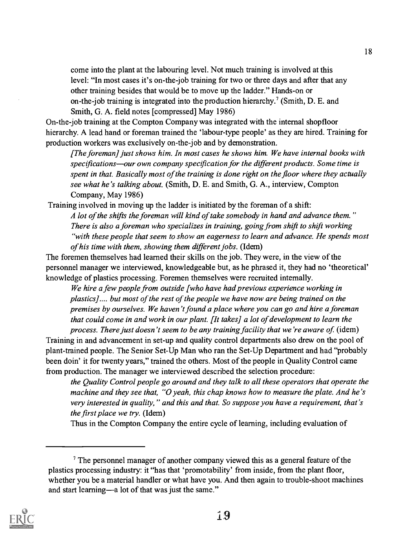come into the plant at the labouring level. Not much training is involved at this level: "In most cases it's on-the-job training for two or three days and after that any other training besides that would be to move up the ladder." Hands-on or on-the-job training is integrated into the production hierarchy.' (Smith, D. E. and Smith, G. A. field notes [compressed] May 1986)

On-the-job training at the Compton Company was integrated with the internal shopfloor hierarchy. A lead hand or foreman trained the 'labour-type people' as they are hired. Training for production workers was exclusively on-the-job and by demonstration.

[The foreman] just shows him. In most cases he shows him. We have internal books with specifications—our own company specification for the different products. Some time is spent in that. Basically most of the training is done right on the floor where they actually see what he's talking about. (Smith, D. E. and Smith, G. A., interview, Compton Company, May 1986)

Training involved in moving up the ladder is initiated by the foreman of a shift:

A lot of the shifts the foreman will kind of take somebody in hand and advance them." There is also a foreman who specializes in training, going from shift to shift working "with these people that seem to show an eagerness to learn and advance. He spends most of his time with them, showing them different jobs. (Idem)

The foremen themselves had learned their skills on the job. They were, in the view of the personnel manager we interviewed, knowledgeable but, as he phrased it, they had no 'theoretical' knowledge of plastics processing. Foremen themselves were recruited internally.

We hire a few people from outside [who have had previous experience working in plastics].... but most of the rest of the people we have now are being trained on the premises by ourselves. We haven't found a place where you can go and hire a foreman that could come in and work in our plant. [It takes] a lot of development to learn the process. There just doesn't seem to be any training facility that we're aware of. (idem)

Training in and advancement in set-up and quality control departments also drew on the pool of plant-trained people. The Senior Set-Up Man who ran the Set-Up Department and had "probably been doin' it for twenty years," trained the others. Most of the people in Quality Control came from production. The manager we interviewed described the selection procedure:

the Quality Control people go around and they talk to all these operators that operate the machine and they see that, "O yeah, this chap knows how to measure the plate. And he's very interested in quality," and this and that. So suppose you have a requirement, that's the first place we try. (Idem)

Thus in the Compton Company the entire cycle of learning, including evaluation of

<sup>&</sup>lt;sup>7</sup> The personnel manager of another company viewed this as a general feature of the plastics processing industry: it "has that `promotability' from inside, from the plant floor, whether you be a material handler or what have you. And then again to trouble-shoot machines and start learning—a lot of that was just the same."

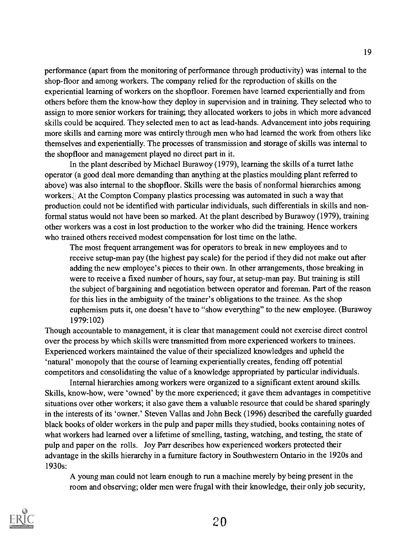performance (apart from the monitoring of performance through productivity) was internal to the shop-floor and among workers. The company relied for the reproduction of skills on the experiential learning of workers on the shopfloor. Foremen have learned experientially and from others before them the know-how they deploy in supervision and in training. They selected who to assign to more senior workers for training; they allocated workers to jobs in which more advanced skills could be acquired. They selected men to act as lead-hands. Advancement into jobs requiring more skills and earning more was entirely through men who had learned the work from others like themselves and experientially. The processes of transmission and storage of skills was internal to the shopfloor and management played no direct part in it.

In the plant described by Michael Burawoy (1979), learning the skills of a turret lathe operator (a good deal more demanding than anything at the plastics moulding plant referred to above) was also internal to the shopfloor. Skills were the basis of nonformal hierarchies among workers.: At the Compton Company plastics processing was automated in such a way that production could not be identified with particular individuals, such differentials in skills and nonformal status would not have been so marked. At the plant described by Burawoy (1979), training other workers was a cost in lost production to the worker who did the training. Hence workers who trained others received modest compensation for lost time on the lathe.

The most frequent arrangement was for operators to break in new employees and to receive setup-man pay (the highest pay scale) for the period if they did not make out after adding the new employee's pieces to their own. In other arrangements, those breaking in were to receive a fixed number of hours, say four, at setup-man pay. But training is still the subject of bargaining and negotiation between operator and foreman. Part of the reason for this lies in the ambiguity of the trainer's obligations to the trainee. As the shop euphemism puts it, one doesn't have to "show everything" to the new employee. (Burawoy 1979:102)

Though accountable to management, it is clear that management could not exercise direct control over the process by which skills were transmitted from more experienced workers to trainees. Experienced workers maintained the value of their specialized knowledges and upheld the `natural' monopoly that the course of learning experientially creates, fending off potential competitors and consolidating the value of a knowledge appropriated by particular individuals.

Internal hierarchies among workers were organized to a significant extent around skills. Skills, know-how, were 'owned' by the more experienced; it gave them advantages in competitive situations over other workers; it also gave them a valuable resource that could be shared sparingly in the interests of its 'owner.' Steven Vallas and John Beck (1996) described the carefully guarded black books of older workers in the pulp and paper mills they studied, books containing notes of what workers had learned over a lifetime of smelling, tasting, watching, and testing, the state of pulp and paper on the rolls. Joy Parr describes how experienced workers protected their advantage in the skills hierarchy in a furniture factory in Southwestern Ontario in the 1920s and 1930s:

A young man could not learn enough to run a machine merely by being present in the room and observing; older men were frugal with their knowledge, their only job security,

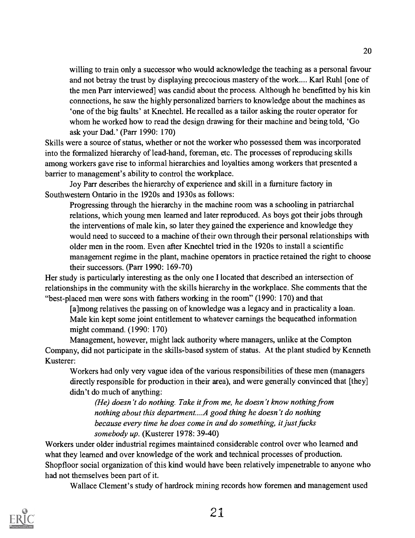willing to train only a successor who would acknowledge the teaching as a personal favour and not betray the trust by displaying precocious mastery of the work.... Karl Ruhl [one of the men Parr interviewed] was candid about the process. Although he benefitted by his kin connections, he saw the highly personalized barriers to knowledge about the machines as `one of the big faults' at Knechtel. He recalled as a tailor asking the router operator for whom he worked how to read the design drawing for their machine and being told, 'Go ask your Dad.' (Parr 1990: 170)

Skills were a source of status, whether or not the worker who possessed them was incorporated into the formalized hierarchy of lead-hand, foreman, etc. The processes of reproducing skills among workers gave rise to informal hierarchies and loyalties among workers that presented a barrier to management's ability to control the workplace.

Joy Parr describes the hierarchy of experience and skill in a furniture factory in Southwestern Ontario in the 1920s and 1930s as follows:

Progressing through the hierarchy in the machine room was a schooling in patriarchal relations, which young men learned and later reproduced. As boys got their jobs through the interventions of male kin, so later they gained the experience and knowledge they would need to succeed to a machine of their own through their personal relationships with older men in the room. Even after Knechtel tried in the 1920s to install a scientific management regime in the plant, machine operators in practice retained the right to choose their successors. (Parr 1990: 169-70)

Her study is particularly interesting as the only one I located that described an intersection of relationships in the community with the skills hierarchy in the workplace. She comments that the "best-placed men were sons with fathers working in the room" (1990: 170) and that

[a]mong relatives the passing on of knowledge was a legacy and in practicality a loan. Male kin kept some joint entitlement to whatever earnings the bequeathed information might command. (1990: 170)

Management, however, might lack authority where managers, unlike at the Compton Company, did not participate in the skills-based system of status. At the plant studied by Kenneth Kusterer:

Workers had only very vague idea of the various responsibilities of these men (managers directly responsible for production in their area), and were generally convinced that [they] didn't do much of anything:

(He) doesn't do nothing. Take it from me, he doesn't know nothing from nothing about this department....A good thing he doesn't do nothing because every time he does come in and do something, it just fucks somebody up. (Kusterer 1978: 39-40)

Workers under older industrial regimes maintained considerable control over who learned and what they learned and over knowledge of the work and technical processes of production. Shopfloor social organization of this kind would have been relatively impenetrable to anyone who had not themselves been part of it.

Wallace Clement's study of hardrock mining records how foremen and management used

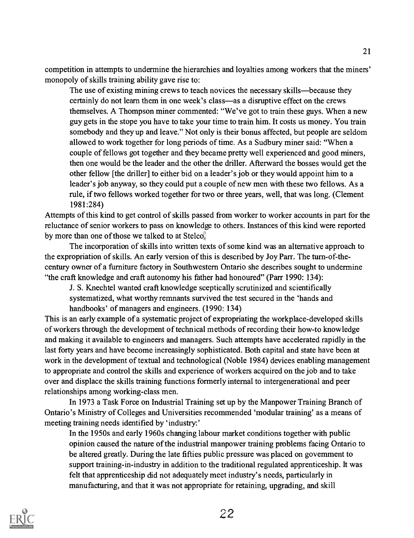competition in attempts to undermine the hierarchies and loyalties among workers that the miners' monopoly of skills training ability gave rise to:

The use of existing mining crews to teach novices the necessary skills—because they certainly do not learn them in one week's class—as a disruptive effect on the crews themselves. A Thompson miner commented: "We've got to train these guys. When a new guy gets in the stope you have to take your time to train him. It costs us money. You train somebody and they up and leave." Not only is their bonus affected, but people are seldom allowed to work together for long periods of time. As a Sudbury miner said: "When a couple of fellows got together and they became pretty well experienced and good miners, then one would be the leader and the other the driller. Afterward the bosses would get the other fellow [the driller] to either bid on a leader's job or they would appoint him to a leader's job anyway, so they could put a couple of new men with these two fellows. As a rule, if two fellows worked together for two or three years, well, that was long. (Clement 1981:284)

Attempts of this kind to get control of skills passed from worker to worker accounts in part for the reluctance of senior workers to pass on knowledge to others. Instances of this kind were reported by more than one of those we talked to at Stelco.

The incorporation of skills into written texts of some kind was an alternative approach to the expropriation of skills. An early version of this is described by Joy Parr. The turn-of-thecentury owner of a furniture factory in Southwestern Ontario she describes sought to undermine "the craft knowledge and craft autonomy his father had honoured" (Parr 1990: 134):

J. S. Knechtel wanted craft knowledge sceptically scrutinized and scientifically systematized, what worthy remnants survived the test secured in the 'hands and handbooks' of managers and engineers. (1990: 134)

This is an early example of a systematic project of expropriating the workplace-developed skills of workers through the development of technical methods of recording their how-to knowledge and making it available to engineers and managers. Such attempts have accelerated rapidly in the last forty years and have become increasingly sophisticated. Both capital and state have been at work in the development of textual and technological (Noble 1984) devices enabling management to appropriate and control the skills and experience of workers acquired on the job and to take over and displace the skills training functions formerly internal to intergenerational and peer relationships among working-class men.

In 1973 a Task Force on Industrial Training set up by the Manpower Training Branch of Ontario's Ministry of Colleges and Universities recommended 'modular training' as a means of meeting training needs identified by 'industry:'

In the 1950s and early 1960s changing labour market conditions together with public opinion caused the nature of the industrial manpower training problems facing Ontario to be altered greatly. During the late fifties public pressure was placed on government to support training-in-industry in addition to the traditional regulated apprenticeship. It was felt that apprenticeship did not adequately meet industry's needs, particularly in manufacturing, and that it was not appropriate for retaining, upgrading, and skill

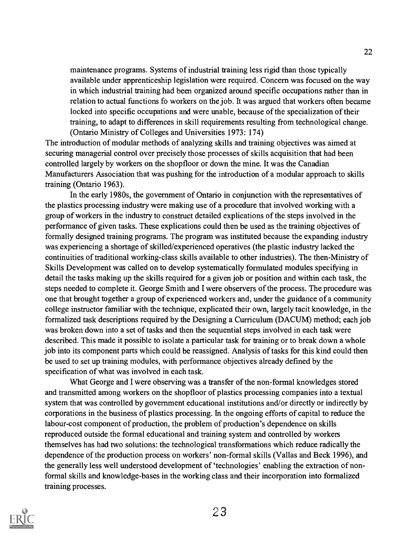maintenance programs. Systems of industrial training less rigid than those typically available under apprenticeship legislation were required. Concern was focused on the way in which industrial training had been organized around specific occupations rather than in relation to actual functions fo workers on the job. It was argued that workers often became locked into specific occupations and were unable, because of the specialization of their training, to adapt to differences in skill requirements resulting from technological change. (Ontario Ministry of Colleges and Universities 1973: 174)

The introduction of modular methods of analyzing skills and training objectives was aimed at securing managerial control over precisely those processes of skills acquisition that had been controlled largely by workers on the shopfloor or down the mine. It was the Canadian Manufacturers Association that was pushing for the introduction of a modular approach to skills training (Ontario 1963).

In the early 1980s, the government of Ontario in conjunction with the representatives of the plastics processing industry were making use of a procedure that involved working with a group of workers in the industry to construct detailed explications of the steps involved in the performance of given tasks. These explications could then be used as the training objectives of formally designed training programs. The program was instituted because the expanding industry was experiencing a shortage of skilled/experienced operatives (the plastic industry lacked the continuities of traditional working-class skills available to other industries). The then-Ministry of Skills Development was called on to develop systematically formulated modules specifying in detail the tasks making up the skills required for a given job or position and within each task, the steps needed to complete it. George Smith and I were observers of the process. The procedure was one that brought together a group of experienced workers and, under the guidance of a community college instructor familiar with the technique, explicated their own, largely tacit knowledge, in the formalized task descriptions required by the Designing a Curriculum (DACUM) method; each job was broken down into a set of tasks and then the sequential steps involved in each task were described. This made it possible to isolate a particular task for training or to break down a whole job into its component parts which could be reassigned. Analysis of tasks for this kind could then be used to set up training modules, with performance objectives already defined by the specification of what was involved in each task.

What George and I were observing was a transfer of the non-formal knowledges stored and transmitted among workers on the shopfloor of plastics processing companies into a textual system that was controlled by government educational institutions and/or directly or indirectly by corporations in the business of plastics processing. In the ongoing efforts of capital to reduce the labour-cost component of production, the problem of production's dependence on skills reproduced outside the formal educational and training system and controlled by workers themselves has had two solutions: the technological transformations which reduce radically the dependence of the production process on workers' non-formal skills (Vallas and Beck 1996), and the generally less well understood development of 'technologies' enabling the extraction of nonformal skills and knowledge-bases in the working class and their incorporation into formalized training processes.

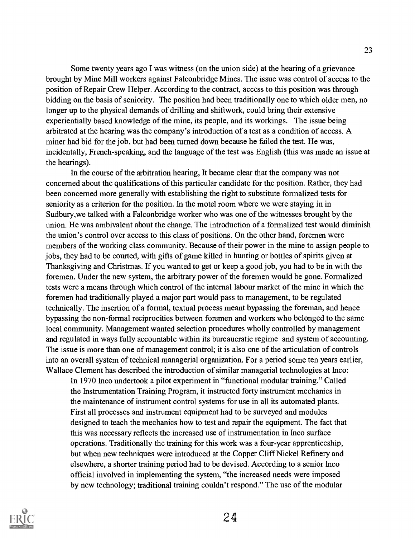Some twenty years ago I was witness (on the union side) at the hearing of a grievance brought by Mine Mill workers against Falconbridge Mines. The issue was control of access to the position of Repair Crew Helper. According to the contract, access to this position was through bidding on the basis of seniority. The position had been traditionally one to which older men, no longer up to the physical demands of drilling and shiftwork, could bring their extensive experientially based knowledge of the mine, its people, and its workings. The issue being arbitrated at the hearing was the company's introduction of a test as a condition of access. A miner had bid for the job, but had been turned down because he failed the test. He was, incidentally, French-speaking, and the language of the test was English (this was made an issue at the hearings).

In the course of the arbitration hearing, It became clear that the company was not concerned about the qualifications of this particular candidate for the position. Rather, they had been concerned more generally with establishing the right to substitute formalized tests for seniority as a criterion for the position. In the motel room where we were staying in in Sudbury,we talked with a Falconbridge worker who was one of the witnesses brought by the union. He was ambivalent about the change. The introduction of a formalized test would diminish the union's control over access to this class of positions. On the other hand, foremen were members of the working class community. Because of their power in the mine to assign people to jobs, they had to be courted, with gifts of game killed in hunting or bottles of spirits given at Thanksgiving and Christmas. If you wanted to get or keep a good job, you had to be in with the foremen. Under the new system, the arbitrary power of the foremen would be gone. Formalized tests were a means through which control of the internal labour market of the mine in which the foremen had traditionally played a major part would pass to management, to be regulated technically. The insertion of a formal, textual process meant bypassing the foreman, and hence bypassing the non-formal reciprocities between foremen and workers who belonged to the same local community. Management wanted selection procedures wholly controlled by management and regulated in ways fully accountable within its bureaucratic regime and system of accounting. The issue is more than one of management control; it is also one of the articulation of controls into an overall system of technical managerial organization. For a period some ten years earlier, Wallace Clement has described the introduction of similar managerial technologies at Inco:

In 1970 Inco undertook a pilot experiment in "functional modular training." Called the Instrumentation Training Program, it instructed forty instrument mechanics in the maintenance of instrument control systems for use in all its automated plants. First all processes and instrument equipment had to be surveyed and modules designed to teach the mechanics how to test and repair the equipment. The fact that this was necessary reflects the increased use of instrumentation in Inco surface operations. Traditionally the training for this work was a four-year apprenticeship, but when new techniques were introduced at the Copper Cliff Nickel Refinery and elsewhere, a shorter training period had to be devised. According to a senior Inco official involved in implementing the system, "the increased needs were imposed by new technology; traditional training couldn't respond." The use of the modular

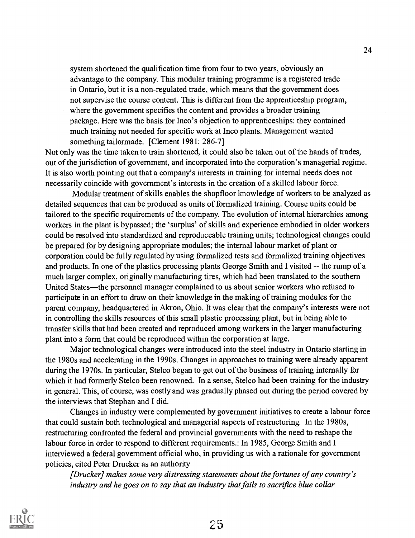system shortened the qualification time from four to two years, obviously an advantage to the company. This modular training programme is a registered trade in Ontario, but it is a non-regulated trade, which means that the government does not supervise the course content. This is different from the apprenticeship program, where the government specifies the content and provides a broader training package. Here was the basis for Inco's objection to apprenticeships: they contained much training not needed for specific work at Inco plants. Management wanted something tailormade. [Clement 1981: 286-7]

Not only was the time taken to train shortened, it could also be taken out of the hands of trades, out of the jurisdiction of government, and incorporated into the corporation's managerial regime. It is also worth pointing out that a company's interests in training for internal needs does not necessarily coincide with government's interests in the creation of a skilled labour force.

Modular treatment of skills enables the shopfloor knowledge of workers to be analyzed as detailed sequences that can be produced as units of formalized training. Course units could be tailored to the specific requirements of the company. The evolution of internal hierarchies among workers in the plant is bypassed; the 'surplus' of skills and experience embodied in older workers could be resolved into standardized and reproduceable training units; technological changes could be prepared for by designing appropriate modules; the internal labour market of plant or corporation could be fully regulated by using formalized tests and formalized training objectives and products. In one of the plastics processing plants George Smith and I visited -- the rump of a much larger complex, originally manufacturing tires, which had been translated to the southern United States-the personnel manager complained to us about senior workers who refused to participate in an effort to draw on their knowledge in the making of training modules for the parent company, headquartered in Akron, Ohio. It was clear that the company's interests were not in controlling the skills resources of this small plastic processing plant, but in being able to transfer skills that had been created and reproduced among workers in the larger manufacturing plant into a form that could be reproduced within the corporation at large.

Major technological changes were introduced into the steel industry in Ontario starting in the 1980s and accelerating in the 1990s. Changes in approaches to training were already apparent during the 1970s. In particular, Stelco began to get out of the business of training internally for which it had formerly Stelco been renowned. In a sense, Stelco had been training for the industry in general. This, of course, was costly and was gradually phased out during the period covered by the interviews that Stephan and I did.

Changes in industry were complemented by government initiatives to create a labour force that could sustain both technological and managerial aspects of restructuring. In the 1980s, restructuring confronted the federal and provincial governments with the need to reshape the labour force in order to respond to different requirements.: In 1985, George Smith and I interviewed a federal government official who, in providing us with a rationale for government policies, cited Peter Drucker as an authority

[Drucker] makes some very distressing statements about the fortunes of any country's industry and he goes on to say that an industry that fails to sacrifice blue collar

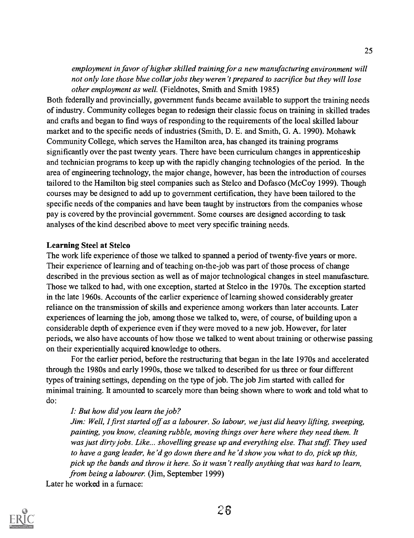#### employment in favor of higher skilled training for a new manufacturing environment will not only lose those blue collar jobs they weren't prepared to sacrifice but they will lose other employment as well. (Fieldnotes, Smith and Smith 1985)

Both federally and provincially, government funds became available to support the training needs of industry. Community colleges began to redesign their classic focus on training in skilled trades and crafts and began to find ways of responding to the requirements of the local skilled labour market and to the specific needs of industries (Smith, D. E. and Smith, G. A. 1990). Mohawk Community College, which serves the Hamilton area, has changed its training programs significantly over the past twenty years. There have been curriculum changes in apprenticeship and technician programs to keep up with the rapidly changing technologies of the period. In the area of engineering technology, the major change, however, has been the introduction of courses tailored to the Hamilton big steel companies such as Stelco and Dofasco (McCoy 1999). Though courses may be designed to add up to government certification, they have been tailored to the specific needs of the companies and have been taught by instructors from the companies whose pay is covered by the provincial government. Some courses are designed according to task analyses of the kind described above to meet very specific training needs.

#### Learning Steel at Stelco

The work life experience of those we talked to spanned a period of twenty-five years or more. Their experience of learning and of teaching on-the-job was part of those process of change described in the previous section as well as of major technological changes in steel manufascture. Those we talked to had, with one exception, started at Stelco in the 1970s. The exception started in the late 1960s. Accounts of the earlier experience of learning showed considerably greater reliance on the transmission of skills and experience among workers than later accounts. Later experiences of learning the job, among those we talked to, were, of course, of building upon a considerable depth of experience even if they were moved to a new job. However, for later periods, we also have accounts of how those we talked to went about training or otherwise passing on their experientially acquired knowledge to others.

For the earlier period, before the restructuring that began in the late 1970s and accelerated through the 1980s and early 1990s, those we talked to described for us three or four different types of training settings, depending on the type of job. The job Jim started with called for minimal training. It amounted to scarcely more than being shown where to work and told what to do:

#### I: But how did you learn the job?

Jim: Well, I first started off as a labourer. So labour, we just did heavy lifting, sweeping, painting, you know, cleaning rubble, moving things over here where they need them. It was just dirty jobs. Like... shovelling grease up and everything else. That stuff. They used to have a gang leader, he'd go down there and he'd show you what to do, pick up this, pick up the bands and throw it here. So it wasn't really anything that was hard to learn, from being a labourer. (Jim, September 1999)

Later he worked in a furnace:

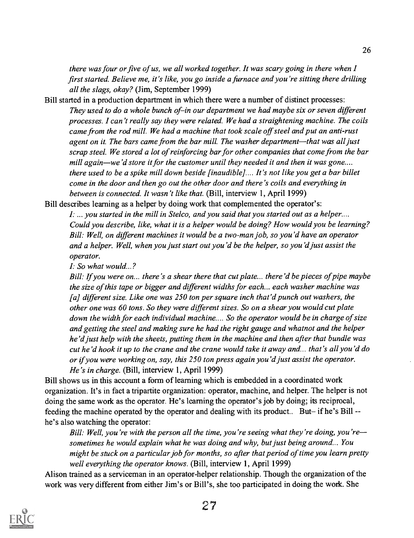there was four or five of us, we all worked together. It was scary going in there when I first started. Believe me, it's like, you go inside a furnace and you're sitting there drilling all the slags, okay? (Jim, September 1999)

Bill started in a production department in which there were a number of distinct processes: They used to do a whole bunch of-in our department we had maybe six or seven different processes. I can't really say they were related. We had a straightening machine. The coils came from the rod mill. We had a machine that took scale off steel and put an anti-rust agent on it. The bars came from the bar mill. The washer department—that was all just scrap steel. We stored a lot of reinforcing bar for other companies that come from the bar mill again—we'd store it for the customer until they needed it and then it was gone.... there used to be a spike mill down beside [inaudible].... It's not like you get a bar billet come in the door and then go out the other door and there's coils and everything in between is connected. It wasn't like that. (Bill, interview 1, April 1999)

Bill describes learning as a helper by doing work that complemented the operator's:

 $I: \ldots$  you started in the mill in Stelco, and you said that you started out as a helper.... Could you describe, like, what it is a helper would be doing? How would you be learning? Bill: Well, on different machines it would be a two-man job, so you'd have an operator and a helper. Well, when you just start out you'd be the helper, so you'd just assist the operator.

I: So what would...?

Bill: If you were on... there's a shear there that cut plate... there'd be pieces of pipe maybe the size of this tape or bigger and different widths for each... each washer machine was  $[a]$  different size. Like one was 250 ton per square inch that'd punch out washers, the other one was 60 tons. So they were different sizes. So on a shear you would cut plate down the width for each individual machine.... So the operator would be in charge of size and getting the steel and making sure he had the right gauge and whatnot and the helper he'd just help with the sheets, putting them in the machine and then after that bundle was cut he'd hook it up to the crane and the crane would take it away and... that's all you'd do or if you were working on, say, this 250 ton press again you'd just assist the operator. He's in charge. (Bill, interview 1, April 1999)

Bill shows us in this account a form of learning which is embedded in a coordinated work organization. It's in fact a tripartite organization: operator, machine, and helper. The helper is not doing the same work as the operator. He's learning the operator's job by doing; its reciprocal, feeding the machine operated by the operator and dealing with its product.. But-if he's Bill -he's also watching the operator:

Bill: Well, you're with the person all the time, you're seeing what they're doing, you'resometimes he would explain what he was doing and why, but just being around... You might be stuck on a particular job for months, so after that period of time you learn pretty well everything the operator knows. (Bill, interview 1, April 1999)

Alison trained as a serviceman in an operator-helper relationship. Though the organization of the work was very different from either Jim's or Bill's, she too participated in doing the work. She

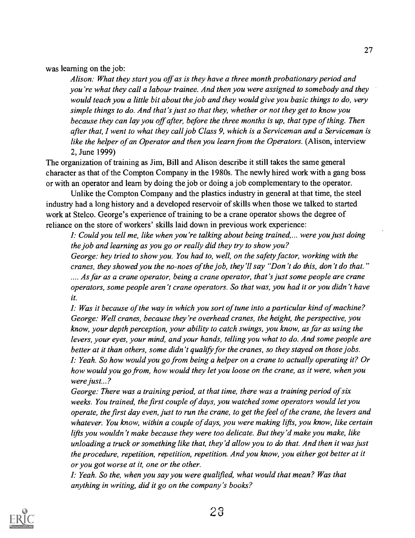was learning on the job:

Alison: What they start you off as is they have a three month probationary period and you're what they call a labour trainee. And then you were assigned to somebody and they would teach you a little bit about the job and they would give you basic things to do, very simple things to do. And that's just so that they, whether or not they get to know you because they can lay you off after, before the three months is up, that type of thing. Then after that, I went to what they call job Class 9, which is a Serviceman and a Serviceman is like the helper of an Operator and then you learn from the Operators. (Alison, interview 2, June 1999)

The organization of training as Jim, Bill and Alison describe it still takes the same general character as that of the Compton Company in the 1980s. The newly hired work with a gang boss or with an operator and learn by doing the job or doing a job complementary to the operator.

Unlike the Compton Company and the plastics industry in general at that time, the steel industry had a long history and a developed reservoir of skills when those we talked to started work at Stelco. George's experience of training to be a crane operator shows the degree of reliance on the store of workers' skills laid down in previous work experience:

I: Could you tell me, like when you're talking about being trained,... were you just doing the job and learning as you go or really did they try to show you?

George: hey tried to show you. You had to, well, on the safety factor, working with the cranes, they showed you the no-noes of the job, they'll say "Don 't do this, don't do that." .... As far as a crane operator, being a crane operator, that's just some people are crane operators, some people aren't crane operators. So that was, you had it or you didn't have it.

I: Was it because of the way in which you sort of tune into a particular kind of machine? George: Well cranes, because they're overhead cranes, the height, the perspective, you know, your depth perception, your ability to catch swings, you know, as far as using the levers, your eyes, your mind, and your hands, telling you what to do. And some people are better at it than others, some didn't qualify for the cranes, so they stayed on those jobs. I: Yeah. So how would you go from being a helper on a crane to actually operating it? Or how would you go from, how would they let you loose on the crane, as it were, when you were just...?

George: There was a training period, at that time, there was a training period of six weeks. You trained, the first couple of days, you watched some operators would let you operate, the first day even, just to run the crane, to get the feel of the crane, the levers and whatever. You know, within a couple of days, you were making lifts, you know, like certain lifts you wouldn't make because they were too delicate. But they'd make you make, like unloading a truck or something like that, they'd allow you to do that. And then it was just the procedure, repetition, repetition, repetition. And you know, you either got better at it or you got worse at it, one or the other.

I: Yeah. So the, when you say you were qualified, what would that mean? Was that anything in writing, did it go on the company's books?

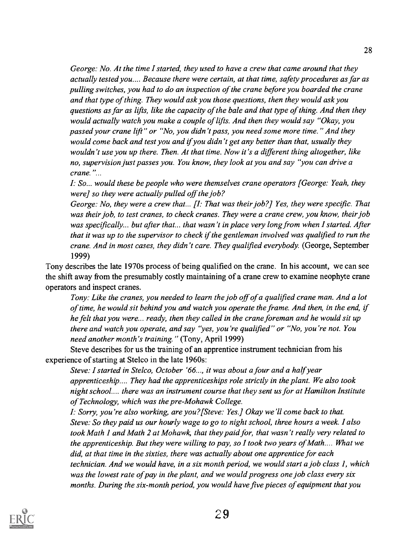George: No. At the time I started, they used to have a crew that came around that they actually tested you.... Because there were certain, at that time, safety procedures as far as pulling switches, you had to do an inspection of the crane before you boarded the crane and that type of thing. They would ask you those questions, then they would ask you questions as far as lifts, like the capacity of the bale and that type of thing. And then they would actually watch you make a couple of lifts. And then they would say "Okay, you passed your crane lift" or "No, you didn't pass, you need some more time." And they would come back and test you and if you didn't get any better than that, usually they wouldn't use you up there. Then. At that time. Now it's a different thing altogether, like no, supervision just passes you. You know, they look at you and say "you can drive a crane."...

I. So... would these be people who were themselves crane operators [George: Yeah, they were] so they were actually pulled off the job?

George: No, they were a crew that... [I: That was their job?] Yes, they were specific. That was their job, to test cranes, to check cranes. They were a crane crew, you know, their job was specifically... but after that... that wasn't in place very long from when I started. After that it was up to the supervisor to check if the gentleman involved was qualified to run the crane. And in most cases, they didn't care. They qualified everybody. (George, September 1999)

Tony describes the late 1970s process of being qualified on the crane. In his account, we can see the shift away from the presumably costly maintaining of a crane crew to examine neophyte crane operators and inspect cranes.

Tony: Like the cranes, you needed to learn the job off of a qualified crane man. And a lot of time, he would sit behind you and watch you operate the frame. And then, in the end, if he felt that you were... ready, then they called in the crane foreman and he would sit up there and watch you operate, and say "yes, you're qualified" or "No, you're not. You need another month's training." (Tony, April 1999)

Steve describes for us the training of an apprentice instrument technician from his experience of starting at Stelco in the late 1960s:

Steve: I started in Stelco, October '66..., it was about a four and a half year apprenticeship.... They had the apprenticeships role strictly in the plant. We also took night school.... there was an instrument course that they sent us for at Hamilton Institute of Technology, which was the pre-Mohawk College.

I: Sorry, you're also working, are you?[Steve: Yes.] Okay we'll come back to that. Steve: So they paid us our hourly wage to go to night school, three hours a week. I also took Math 1 and Math 2 at Mohawk, that they paid for, that wasn't really very related to the apprenticeship. But they were willing to pay, so I took two years of Math.... What we did, at that time in the sixties, there was actually about one apprentice for each technician. And we would have, in a six month period, we would start a job class 1, which was the lowest rate of pay in the plant, and we would progress one job class every six months. During the six-month period, you would have five pieces of equipment that you

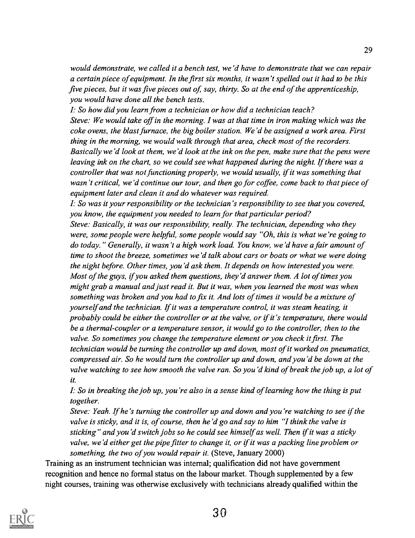would demonstrate, we called it a bench test, we'd have to demonstrate that we can repair a certain piece of equipment. In the first six months, it wasn't spelled out it had to be this five pieces, but it was five pieces out of, say, thirty. So at the end of the apprenticeship, you would have done all the bench tests.

I: So how did you learn from a technician or how did a technician teach? Steve: We would take off in the morning. I was at that time in iron making which was the coke ovens, the blast furnace, the big boiler station. We'd be assigned a work area. First thing in the morning, we would walk through that area, check most of the recorders. Basically we'd look at them, we'd look at the ink on the pen, make sure that the pens were leaving ink on the chart, so we could see what happened during the night. If there was a controller that was not functioning properly, we would usually, if it was something that wasn't critical, we'd continue our tour, and then go for coffee, come back to that piece of equipment later and clean it and do whatever was required.

I: So was it your responsibility or the technician's responsibility to see that you covered, you know, the equipment you needed to learn for that particular period?

Steve: Basically, it was our responsibility, really. The technician, depending who they were, some people were helpful, some people would say "Oh, this is what we're going to do today." Generally, it wasn't a high work load. You know, we'd have a fair amount of time to shoot the breeze, sometimes we'd talk about cars or boats or what we were doing the night before. Other times, you'd ask them. It depends on how interested you were. Most of the guys, if you asked them questions, they'd answer them. A lot of times you might grab a manual and just read it. But it was, when you learned the most was when something was broken and you had to fix it. And lots of times it would be a mixture of yourself and the technician. If it was a temperature control, it was steam heating, it probably could be either the controller or at the valve, or if it's temperature, there would be a thermal-coupler or a temperature sensor, it would go to the controller, then to the valve. So sometimes you change the temperature element or you check it first. The technician would be turning the controller up and down, most of it worked on pneumatics, compressed air. So he would turn the controller up and down, and you'd be down at the valve watching to see how smooth the valve ran. So you'd kind of break the job up, a lot of it.

I: So in breaking the job up, you're also in a sense kind of learning how the thing is put together.

Steve: Yeah. If he's turning the controller up and down and you're watching to see if the valve is sticky, and it is, of course, then he'd go and say to him "I think the valve is sticking" and you'd switch jobs so he could see himself as well. Then if it was a sticky valve, we'd either get the pipe fitter to change it, or if it was a packing line problem or something, the two of you would repair it. (Steve, January 2000)

Training as an instrument technician was internal; qualification did not have government recognition and hence no formal status on the labour market. Though supplemented by a few night courses, training was otherwise exclusively with technicians already qualified within the

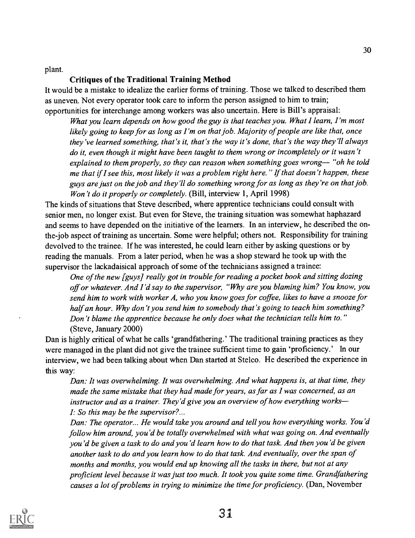plant.

#### Critiques of the Traditional Training Method

It would be a mistake to idealize the earlier forms of training. Those we talked to described them as uneven. Not every operator took care to inform the person assigned to him to train; opportunities for interchange among workers was also uncertain. Here is Bill's appraisal:

What you learn depends on how good the guy is that teaches you. What I learn, I'm most likely going to keep for as long as I'm on that job. Majority of people are like that, once they've learned something, that's it, that's the way it's done, that's the way they'll always do it, even though it might have been taught to them wrong or incompletely or it wasn't explained to them properly, so they can reason when something goes wrong— "oh he told me that if I see this, most likely it was a problem right here." If that doesn't happen, these guys are just on the job and they'll do something wrong for as long as they're on that job. Won't do it properly or completely. (Bill, interview 1, April 1998)

The kinds of situations that Steve described, where apprentice technicians could consult with senior men, no longer exist. But even for Steve, the training situation was somewhat haphazard and seems to have depended on the initiative of the learners. In an interview, he described the onthe-job aspect of training as uncertain. Some were helpful; others not. Responsibility for training devolved to the trainee. If he was interested, he could learn either by asking questions or by reading the manuals. From a later period, when he was a shop steward he took up with the supervisor the lackadaisical approach of some of the technicians assigned a trainee:

One of the new [guys] really got in trouble for reading a pocket book and sitting dozing off or whatever. And I'd say to the supervisor, "Why are you blaming him? You know, you send him to work with worker A, who you know goes for coffee, likes to have a snooze for half an hour. Why don't you send him to somebody that's going to teach him something? Don't blame the apprentice because he only does what the technician tells him to." (Steve, January 2000)

Dan is highly critical of what he calls 'grandfathering.' The traditional training practices as they were managed in the plant did not give the trainee sufficient time to gain 'proficiency.' In our interview, we had been talking about when Dan started at Stelco. He described the experience in this way:

Dan: It was overwhelming. It was overwhelming. And what happens is, at that time, they made the same mistake that they had made for years, as far as I was concerned, as an instructor and as a trainer. They'd give you an overview of how everything works I: So this may be the supervisor?...

Dan: The operator... He would take you around and tell you how everything works. You'd follow him around, you'd be totally overwhelmed with what was going on. And eventually you'd be given a task to do and you'd learn how to do that task. And then you'd be given another task to do and you learn how to do that task. And eventually, over the span of months and months, you would end up knowing all the tasks in there, but not at any proficient level because it was just too much. It took you quite some time. Grandfathering causes a lot of problems in trying to minimize the time for proficiency. (Dan, November

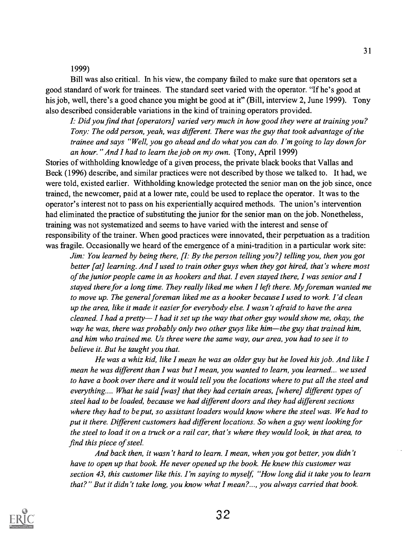#### 1999)

Bill was also critical. In his view, the company failed to make sure that operators set a good standard of work for trainees. The standard seet varied with the operator. "If he's good at his job, well, there's a good chance you might be good at it" (Bill, interview 2, June 1999). Tony also described considerable variations in the kind of training operators provided.

I: Did you find that [operators] varied very much in how good they were at training you? Tony: The odd person, yeah, was different. There was the guy that took advantage of the trainee and says "Well, you go ahead and do what you can do. I'm going to lay down for an hour." And I had to learn the job on my own. {Tony, April 1999)

Stories of withholding knowledge of a given process, the private black books that Vallas and Beck (1996) describe, and similar practices were not described by those we talked to. It had, we were told, existed earlier. Withholding knowledge protected the senior man on the job since, once trained, the newcomer, paid at a lower rate, could be used to replace the operator. It was to the operator's interest not to pass on his experientially acquired methods. The union's intervention had eliminated the practice of substituting the junior for the senior man on the job. Nonetheless, training was not systematized and seems to have varied with the interest and sense of responsibility of the trainer. When good practices were innovated, their perpetuation as a tradition was fragile. Occasionally we heard of the emergence of a mini-tradition in a particular work site:

Jim: You learned by being there, [I: By the person telling you?] telling you, then you got better [at] learning. And I used to train other guys when they got hired, that's where most of the junior people came in as hookers and that. I even stayed there, I was senior and I stayed there for a long time. They really liked me when I left there. My foreman wanted me to move up. The general foreman liked me as a hooker because I used to work. I'd clean up the area, like it made it easier for everybody else. I wasn't afraid to have the area cleaned. I had a pretty—I had it set up the way that other guy would show me, okay, the way he was, there was probably only two other guys like him—the guy that trained him, and him who trained me. Us three were the same way, our area, you had to see it to believe it. But he taught you that.

He was a whiz kid, like I mean he was an older guy but he loved his job. And like I mean he was different than I was but I mean, you wanted to learn, you learned... we used to have a book over there and it would tell you the locations where to put all the steel and everything.... What he said [was] that they had certain areas, [where] different types of steel had to be loaded, because we had different doors and they had different sections where they had to be put, so assistant loaders would know where the steel was. We had to put it there. Different customers had different locations. So when a guy went looking for the steel to load it on a truck or a rail car, that's where they would look, in that area, to find this piece of steel.

And back then, it wasn't hard to learn. I mean, when you got better, you didn't have to open up that book. He never opened up the book. He knew this customer was section 43, this customer like this. I'm saying to myself, "How long did it take you to learn that?" But it didn't take long, you know what I mean?..., you always carried that book.

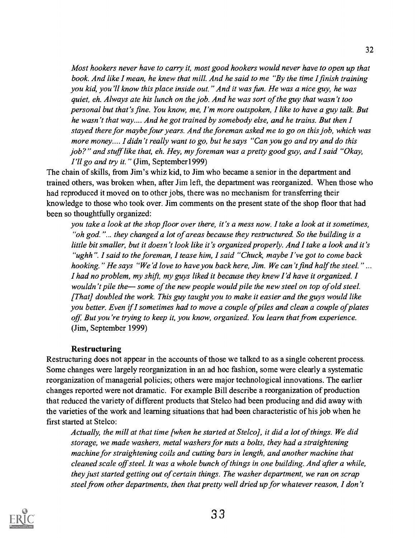Most hookers never have to carry it, most good hookers would never have to open up that book. And like I mean, he knew that mill. And he said to me "By the time I finish training you kid, you'll know this place inside out." And it was fun. He was a nice guy, he was quiet, eh. Always ate his lunch on the job. And he was sort of the guy that wasn't too personal but that's fine. You know, me, I'm more outspoken, I like to have a guy talk. But he wasn't that way.... And he got trained by somebody else, and he trains. But then I stayed there for maybe four years. And the foreman asked me to go on this job, which was more money.... I didn't really want to go, but he says "Can you go and try and do this job?" and stuff like that, eh. Hey, my foreman was a pretty good guy, and I said "Okay, I'll go and try it." (Jim, September1999)

The chain of skills, from Jim's whiz kid, to Jim who became a senior in the department and trained others, was broken when, after Jim left, the department was reorganized. When those who had reproduced it moved on to other jobs, there was no mechanism for transferring their knowledge to those who took over. Jim comments on the present state of the shop floor that had been so thoughtfully organized:

you take a look at the shop floor over there, it's a mess now. I take a look at it sometimes, "oh god."... they changed a lot of areas because they restructured. So the building is a little bit smaller, but it doesn't look like it's organized properly. And I take a look and it's "ughh". I said to the foreman, I tease him, I said "Chuck, maybe I've got to come back hooking." He says "We'd love to have you back here, Jim. We can't find half the steel."... I had no problem, my shift, my guys liked it because they knew I'd have it organized. I wouldn't pile the some of the new people would pile the new steel on top of old steel. [That] doubled the work This guy taught you to make it easier and the guys would like you better. Even if I sometimes had to move a couple of piles and clean a couple of plates off. But you're trying to keep it, you know, organized. You learn that from experience. (Jim, September 1999)

#### Restructuring

Restructuring does not appear in the accounts of those we talked to as a single coherent process. Some changes were largely reorganization in an ad hoc fashion, some were clearly a systematic reorganization of managerial policies; others were major technological innovations. The earlier changes reported were not dramatic. For example Bill describe a reorganization of production that reduced the variety of different products that Stelco had been producing and did away with the varieties of the work and learning situations that had been characteristic of his job when he first started at Stelco:

Actually, the mill at that time [when he started at Stelco], it did a lot of things. We did storage, we made washers, metal washers for nuts a bolts, they had a straightening machine for straightening coils and cutting bars in length, and another machine that cleaned scale off steel. It was a whole bunch of things in one building. And after a while, they just started getting out of certain things. The washer department, we ran on scrap steel from other departments, then that pretty well dried up for whatever reason, I don't

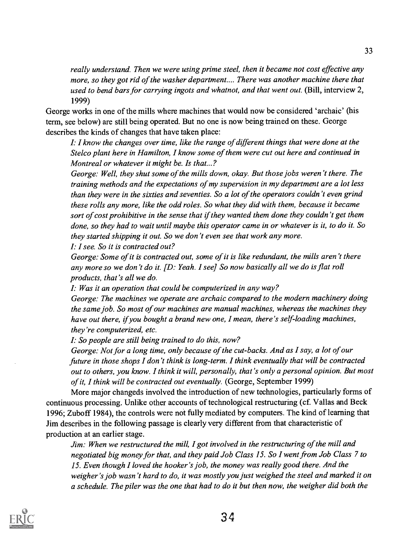really understand. Then we were using prime steel, then it became not cost effective any more, so they got rid of the washer department.... There was another machine there that used to bend bars for carrying ingots and whatnot, and that went out. (Bill, interview 2, 1999)

George works in one of the mills where machines that would now be considered 'archaic' (his term, see below) are still being operated. But no one is now being trained on these. George describes the kinds of changes that have taken place:

I: I know the changes over time, like the range of different things that were done at the Stelco plant here in Hamilton, I know some of them were cut out here and continued in Montreal or whatever it might be. Is that...?

George: Well, they shut some of the mills down, okay. But those jobs weren't there. The training methods and the expectations of my supervision in my department are a lot less than they were in the sixties and seventies. So a lot of the operators couldn't even grind these rolls any more, like the odd roles. So what they did with them, because it became sort of cost prohibitive in the sense that if they wanted them done they couldn't get them done, so they had to wait until maybe this operator came in or whatever is it, to do it. So they started shipping it out. So we don't even see that work any more.

I: I see. So it is contracted out?

George: Some of it is contracted out, some of it is like redundant, the mills aren't there any more so we don't do it. [D: Yeah. I see] So now basically all we do is flat roll products, that's all we do.

I: Was it an operation that could be computerized in any way?

George: The machines we operate are archaic compared to the modern machinery doing the same job. So most of our machines are manual machines, whereas the machines they have out there, if you bought a brand new one, I mean, there's self-loading machines, they're computerized, etc.

I: So people are still being trained to do this, now?

George: Not for a long time, only because of the cut-backs. And as I say, a lot of our future in those shops I don't think is long-term. I think eventually that will be contracted out to others, you know. I think it will, personally, that 's only a personal opinion. But most of it, I think will be contracted out eventually. (George, September 1999)

More major changeds involved the introduction of new technologies, particularly forms of continuous processing. Unlike other accounts of technological restructuring (cf. Vallas and Beck 1996; Zuboff 1984), the controls were not fully mediated by computers. The kind of learning that Jim describes in the following passage is clearly very different from that characteristic of production at an earlier stage.

Jim: When we restructured the mill, I got involved in the restructuring of the mill and negotiated big money for that, and they paid Job Class 15. So I went from Job Class 7 to 15. Even though I loved the hooker's job, the money was really good there. And the weigher's job wasn't hard to do, it was mostly you just weighed the steel and marked it on a schedule. The piler was the one that had to do it but then now, the weigher did both the

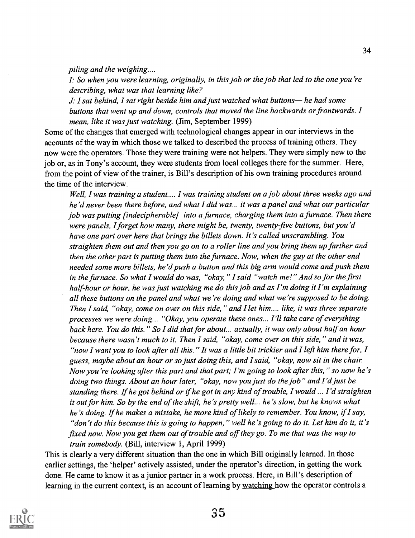piling and the weighing....

I: So when you were learning, originally, in this job or the job that led to the one you're describing, what was that learning like?

 $J: I$  sat behind, I sat right beside him and just watched what buttons— he had some buttons that went up and down, controls that moved the line backwards or frontwards. I mean, like it was just watching. (Jim, September 1999)

Some of the changes that emerged with technological changes appear in our interviews in the accounts of the way in which those we talked to described the process of training others. They now were the operators. Those they were training were not helpers. They were simply new to the job or, as in Tony's account, they were students from local colleges there for the summer. Here, from the point of view of the trainer, is Bill's description of his own training procedures around the time of the interview.

Well, I was training a student.... I was training student on a job about three weeks ago and he'd never been there before, and what I did was... it was a panel and what our particular job was putting [indecipherable] into a furnace, charging them into a furnace. Then there were panels, I forget how many, there might be, twenty, twenty-five buttons, but you'd have one part over here that brings the billets down. It's called unscrambling. You straighten them out and then you go on to a roller line and you bring them up farther and then the other part is putting them into the furnace. Now, when the guy at the other end needed some more billets, he'd push a button and this big arm would come and push them in the furnace. So what I would do was, "okay," I said "watch me!" And so for the first half-hour or hour, he was just watching me do this job and as I'm doing it I'm explaining all these buttons on the panel and what we're doing and what we're supposed to be doing. Then I said, "okay, come on over on this side," and I let him.... like, it was three separate processes we were doing... "Okay, you operate these ones... I'll take care of everything back here. You do this." So I did that for about... actually, it was only about half an hour because there wasn't much to it. Then I said, "okay, come over on this side," and it was, "now I want you to look after all this." It was a little bit trickier and I left him there for, I guess, maybe about an hour or so just doing this, and I said, "okay, now sit in the chair. Now you're looking after this part and that part; I'm going to look after this," so now he's doing two things. About an hour later, "okay, now you just do the job" and I'd just be standing there. If he got behind or if he got in any kind of trouble, I would ... I'd straighten it out for him. So by the end of the shift, he's pretty well... he's slow, but he knows what he's doing. If he makes a mistake, he more kind of likely to remember. You know, if I say, "don't do this because this is going to happen," well he's going to do it. Let him do it, it's fixed now. Now you get them out of trouble and off they go. To me that was the way to train somebody. (Bill, interview 1, April 1999)

This is clearly a very different situation than the one in which Bill originally learned. In those earlier settings, the 'helper' actively assisted, under the operator's direction, in getting the work done. He came to know it as a junior partner in a work process. Here, in Bill's description of learning in the current context, is an account of learning by watching how the operator controls a

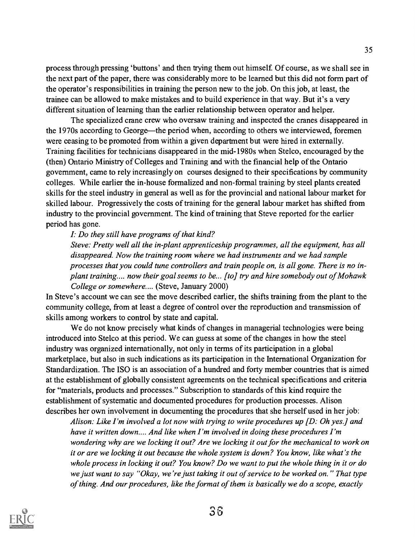process through pressing 'buttons' and then trying them out himself. Of course, as we shall see in the next part of the paper, there was considerably more to be learned but this did not form part of the operator's responsibilities in training the person new to the job. On this job, at least, the trainee can be allowed to make mistakes and to build experience in that way. But it's a very different situation of learning than the earlier relationship between operator and helper.

The specialized crane crew who oversaw training and inspected the cranes disappeared in the 1970s according to George—the period when, according to others we interviewed, foremen were ceasing to be promoted from within a given department but were hired in externally. Training facilities for technicians disappeared in the mid-1980s when Stelco, encouraged by the (then) Ontario Ministry of Colleges and Training and with the financial help of the Ontario government, came to rely increasingly on courses designed to their specifications by community colleges. While earlier the in-house formalized and non-formal training by steel plants created skills for the steel industry in general as well as for the provincial and national labour market for skilled labour. Progressively the costs of training for the general labour market has shifted from industry to the provincial government. The kind of training that Steve reported for the earlier period has gone.

I: Do they still have programs of that kind?

Steve: Pretty well all the in-plant apprenticeship programmes, all the equipment, has all disappeared. Now the training room where we had instruments and we had sample processes that you could tune controllers and train people on, is all gone. There is no inplant training.... now their goal seems to be... [to] try and hire somebody out of Mohawk College or somewhere.... (Steve, January 2000)

In Steve's account we can see the move described earlier, the shifts training from the plant to the community college, from at least a degree of control over the reproduction and transmission of skills among workers to control by state and capital.

We do not know precisely what kinds of changes in managerial technologies were being introduced into Stelco at this period. We can guess at some of the changes in how the steel industry was organized internationally, not only in terms of its participation in a global marketplace, but also in such indications as its participation in the International Organization for Standardization. The ISO is an association of a hundred and forty member countries that is aimed at the establishment of globally consistent agreements on the technical specifications and criteria for "materials, products and processes." Subscription to standards of this kind require the establishment of systematic and documented procedures for production processes. Alison describes her own involvement in documenting the procedures that she herself used in her job:

Alison: Like I'm involved a lot now with trying to write procedures up [D: Oh yes.] and have it written down.... And like when I'm involved in doing these procedures I'm wondering why are we locking it out? Are we locking it out for the mechanical to work on it or are we locking it out because the whole system is down? You know, like what's the whole process in locking it out? You know? Do we want to put the whole thing in it or do we just want to say "Okay, we're just taking it out of service to be worked on." That type of thing. And our procedures, like the format of them is basically we do a scope, exactly

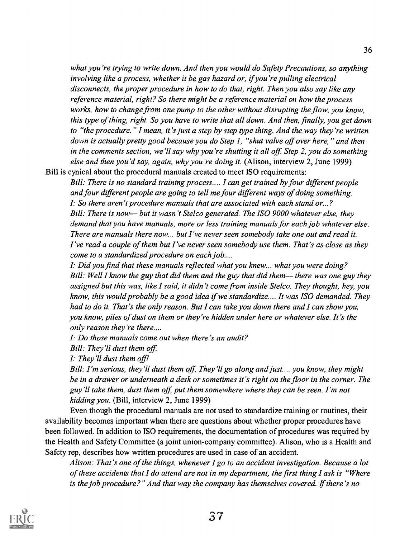what you're trying to write down. And then you would do Safety Precautions, so anything involving like a process, whether it be gas hazard or, if you're pulling electrical disconnects, the proper procedure in how to do that, right. Then you also say like any reference material, right? So there might be a reference material on how the process works, how to change from one pump to the other without disrupting the flow, you know, this type of thing, right. So you have to write that all down. And then, finally, you get down to "the procedure." I mean, it's just a step by step type thing. And the way they're written down is actually pretty good because you do Step 1, "shut valve off over here," and then in the comments section, we'll say why you're shutting it all off. Step 2, you do something else and then you'd say, again, why you're doing it. (Alison, interview 2, June 1999)

Bill is cynical about the procedural manuals created to meet ISO requirements:

Bill: There is no standard training process.... I can get trained by four different people and four different people are going to tell me four different ways of doing something. I: So there aren't procedure manuals that are associated with each stand or...? Bill: There is now— but it wasn't Stelco generated. The ISO 9000 whatever else, they demand that you have manuals, more or less training manuals for each job whatever else. There are manuals there now... but I've never seen somebody take one out and read it. I've read a couple of them but I've never seen somebody use them. That's as close as they come to a standardized procedure on each job....

I: Did you find that these manuals reflected what you knew... what you were doing? Bill: Well I know the guy that did them and the guy that did them— there was one guy they assigned but this was, like I said, it didn't come from inside Stelco. They thought, hey, you know, this would probably be a good idea if we standardize.... It was ISO demanded. They had to do it. That's the only reason. But I can take you down there and I can show you, you know, piles of dust on them or they're hidden under here or whatever else. It's the only reason they're there....

I: Do those manuals come out when there's an audit?

Bill: They'll dust them off.

I: They'll dust them off!

Bill: I'm serious, they'll dust them off. They'll go along and just.... you know, they might be in a drawer or underneath a desk or sometimes it's right on the floor in the corner. The guy'll take them, dust them off, put them somewhere where they can be seen. I'm not kidding you. (Bill, interview 2, June 1999)

Even though the procedural manuals are not used to standardize training or routines, their availability becomes important when there are questions about whether proper procedures have been followed. In addition to ISO requirements, the documentation of procedures was required by the Health and Safety Committee (a joint union-company committee). Alison, who is a Health and Safety rep, describes how written procedures are used in case of an accident.

Alison: That's one of the things, whenever  $I$  go to an accident investigation. Because a lot of these accidents that I do attend are not in my department, the first thing I ask is "Where is the job procedure?" And that way the company has themselves covered. If there's no

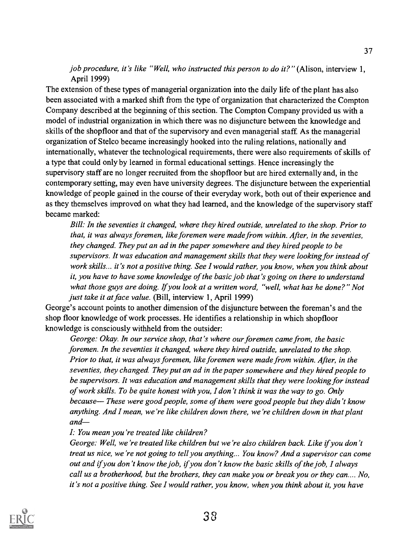job procedure, it's like "Well, who instructed this person to do it?" (Alison, interview 1, April 1999)

The extension of these types of managerial organization into the daily life of the plant has also been associated with a marked shift from the type of organization that characterized the Compton Company described at the beginning of this section. The Compton Company provided us with a model of industrial organization in which there was no disjuncture between the knowledge and skills of the shopfloor and that of the supervisory and even managerial staff. As the managerial organization of Stelco became increasingly hooked into the ruling relations, nationally and internationally, whatever the technological requirements, there were also requirements of skills of a type that could only by learned in formal educational settings. Hence increasingly the supervisory staff are no longer recruited from the shopfloor but are hired externally and, in the contemporary setting, may even have university degrees. The disjuncture between the experiential knowledge of people gained in the course of their everyday work, both out of their experience and as they themselves improved on what they had learned, and the knowledge of the supervisory staff became marked:

Bill: In the seventies it changed, where they hired outside, unrelated to the shop. Prior to that, it was always foremen, like foremen were made from within. After, in the seventies, they changed. They put an ad in the paper somewhere and they hired people to be supervisors. It was education and management skills that they were looking for instead of work skills... it's not a positive thing. See I would rather, you know, when you think about it, you have to have some knowledge of the basic job that's going on there to understand what those guys are doing. If you look at a written word, "well, what has he done?" Not just take it at face value. (Bill, interview 1, April 1999)

George's account points to another dimension of the disjuncture between the foreman's and the shop floor knowledge of work processes. He identifies a relationship in which shopfloor knowledge is consciously withheld from the outsider:

George: Okay. In our service shop, that's where our foremen came from, the basic foremen. In the seventies it changed, where they hired outside, unrelated to the shop. Prior to that, it was always foremen, like foremen were made from within. After, in the seventies, they changed. They put an ad in the paper somewhere and they hired people to be supervisors. It was education and management skills that they were looking for instead of work skills. To be quite honest with you, I don't think it was the way to go. Only because— These were good people, some of them were good people but they didn't know anything. And I mean, we're like children down there, we're children down in that plant and—

#### I: You mean you're treated like children?

George: Well, we're treated like children but we're also children back. Like if you don't treat us nice, we're not going to tell you anything... You know? And a supervisor can come out and if you don't know the job, if you don't know the basic skills of the job, I always call us a brotherhood, but the brothers, they can make you or break you or they can.... No, it's not a positive thing. See I would rather, you know, when you think about it, you have

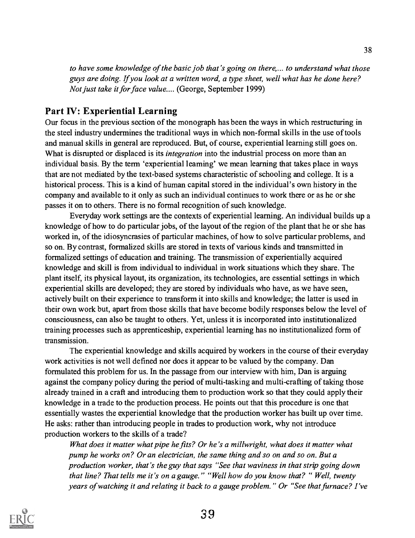to have some knowledge of the basic job that's going on there,... to understand what those guys are doing. If you look at a written word, a type sheet, well what has he done here? Not just take it for face value.... (George, September 1999)

#### Part IV: Experiential Learning

Our focus in the previous section of the monograph has been the ways in which restructuring in the steel industry undermines the traditional ways in which non-formal skills in the use of tools and manual skills in general are reproduced. But, of course, experiential learning still goes on. What is disrupted or displaced is its *integration* into the industrial process on more than an individual basis. By the term 'experiential learning' we mean learning that takes place in ways that are not mediated by the text-based systems characteristic of schooling and college. It is a historical process. This is a kind of human capital stored in the individual's own history in the company and available to it only as such an individual continues to work there or as he or she passes it on to others. There is no formal recognition of such knowledge.

Everyday work settings are the contexts of experiential learning. An individual builds up a knowledge of how to do particular jobs, of the layout of the region of the plant that he or she has worked in, of the idiosyncrasies of particular machines, of how to solve particular problems, and so on. By contrast, formalized skills are stored in texts of various kinds and transmitted in formalized settings of education and training. The transmission of experientially acquired knowledge and skill is from individual to individual in work situations which they share. The plant itself, its physical layout, its organization, its technologies, are essential settings in which experiential skills are developed; they are stored by individuals who have, as we have seen, actively built on their experience to transform it into skills and knowledge; the latter is used in their own work but, apart from those skills that have become bodily responses below the level of consciousness, can also be taught to others. Yet, unless it is incorporated into institutionalized training processes such as apprenticeship, experiential learning has no institutionalized form of transmission.

The experiential knowledge and skills acquired by workers in the course of their everyday work activities is not well defined nor does it appear to be valued by the company. Dan formulated this problem for us. In the passage from our interview with him, Dan is arguing against the company policy during the period of multi-tasking and multi-crafting of taking those already trained in a craft and introducing them to production work so that they could apply their knowledge in a trade to the production process. He points out that this procedure is one that essentially wastes the experiential knowledge that the production worker has built up over time. He asks: rather than introducing people in trades to production work, why not introduce production workers to the skills of a trade?

What does it matter what pipe he fits? Or he's a millwright, what does it matter what pump he works on? Or an electrician, the same thing and so on and so on. But a production worker, that's the guy that says "See that waviness in that strip going down that line? That tells me it's on a gauge." "Well how do you know that? " Well, twenty years of watching it and relating it back to a gauge problem." Or "See that furnace? I've

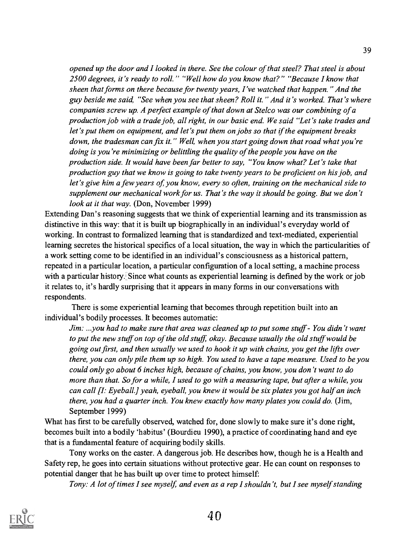opened up the door and I looked in there. See the colour of that steel? That steel is about 2500 degrees, it's ready to roll." "Well how do you know that? " "Because I know that sheen that forms on there because for twenty years, I've watched that happen." And the guy beside me said, "See when you see that sheen? Roll it." And it's worked. That's where companies screw up. A perfect example of that down at Stelco was our combining of a production job with a trade job, all right, in our basic end. We said "Let's take trades and let's put them on equipment, and let's put them on jobs so that if the equipment breaks down, the tradesman can fix it." Well, when you start going down that road what you're doing is you're minimizing or belittling the quality of the people you have on the production side. It would have been far better to say, "You know what? Let's take that production guy that we know is going to take twenty years to be proficient on his job, and let's give him a few years of, you know, every so often, training on the mechanical side to supplement our mechanical work for us. That's the way it should be going. But we don't look at it that way. (Don, November 1999)

Extending Dan's reasoning suggests that we think of experiential learning and its transmission as distinctive in this way: that it is built up biographically in an individual's everyday world of working. In contrast to formalized learning that is standardized and text-mediated, experiential learning secretes the historical specifics of a local situation, the way in which the particularities of a work setting come to be identified in an individual's consciousness as a historical pattern, repeated in a particular location, a particular configuration of a local setting, a machine process with a particular history. Since what counts as experiential learning is defined by the work or job it relates to, it's hardly surprising that it appears in many forms in our conversations with respondents.

There is some experiential learning that becomes through repetition built into an individual's bodily processes. It becomes automatic:

Jim: ...you had to make sure that area was cleaned up to put some stuff - You didn't want to put the new stuff on top of the old stuff, okay. Because usually the old stuff would be going out first, and then usually we used to hook it up with chains, you get the lifts over there, you can only pile them up so high. You used to have a tape measure. Used to be you could only go about 6 inches high, because of chains, you know, you don't want to do more than that. So for a while, I used to go with a measuring tape, but after a while, you can call [I: Eyeball.] yeah, eyeball, you knew it would be six plates you got half an inch there, you had a quarter inch. You knew exactly how many plates you could do. (Jim, September 1999)

What has first to be carefully observed, watched for, done slowly to make sure it's done right, becomes built into a bodily 'habitus' (Bourdieu 1990), a practice of coordinating hand and eye that is a fundamental feature of acquiring bodily skills.

Tony works on the caster. A dangerous job. He describes how, though he is a Health and Safety rep, he goes into certain situations without protective gear. He can count on responses to potential danger that he has built up over time to protect himself:

Tony: A lot of times I see myself, and even as a rep I shouldn't, but I see myself standing

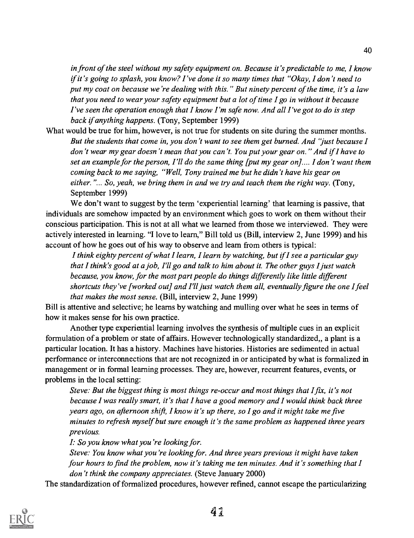in front of the steel without my safety equipment on. Because it's predictable to me, I know if it's going to splash, you know? I've done it so many times that "Okay, I don't need to put my coat on because we're dealing with this." But ninety percent of the time, it's a law that you need to wear your safety equipment but a lot of time I go in without it because I've seen the operation enough that I know I'm safe now. And all I've got to do is step back if anything happens. (Tony, September 1999)

What would be true for him, however, is not true for students on site during the summer months. But the students that come in, you don't want to see them get burned. And "just because  $I$ don't wear my gear doesn't mean that you can't. You put your gear on." And if I have to set an example for the person, I'll do the same thing [put my gear on].... I don't want them coming back to me saying, "Well, Tony trained me but he didn't have his gear on either."... So, yeah, we bring them in and we try and teach them the right way. (Tony, September 1999)

We don't want to suggest by the term 'experiential learning' that learning is passive, that individuals are somehow impacted by an environment which goes to work on them without their conscious participation. This is not at all what we learned from those we interviewed. They were actively interested in learning. "I love to learn," Bill told us (Bill, interview 2, June 1999) and his account of how he goes out of his way to observe and learn from others is typical:

I think eighty percent of what I learn, I learn by watching, but if I see a particular guy that I think's good at a job, I'll go and talk to him about it. The other guys I just watch because, you know, for the most part people do things differently like little different shortcuts they've [worked out] and I'll just watch them all, eventually figure the one I feel that makes the most sense. (Bill, interview 2, June 1999)

Bill is attentive and selective; he learns by watching and mulling over what he sees in terms of how it makes sense for his own practice.

Another type experiential learning involves the synthesis of multiple cues in an explicit formulation of a problem or state of affairs. However technologically standardized,, a plant is a particular location. It has a history. Machines have histories. Histories are sedimented in actual performance or interconnections that are not recognized in or anticipated by what is formalized in management or in formal learning processes. They are, however, recurrent features, events, or problems in the local setting:

Steve: But the biggest thing is most things re-occur and most things that I fix, it's not because I was really smart, it's that I have a good memory and I would think back three years ago, on afternoon shift, I know it's up there, so Igo and it might take me five minutes to refresh myself but sure enough it's the same problem as happened three years previous.

I: So you know what you're looking for.

Steve: You know what you're looking for. And three years previous it might have taken four hours to find the problem, now it's taking me ten minutes. And it's something that I don't think the company appreciates. (Steve January 2000)

The standardization of formalized procedures, however refined, cannot escape the particularizing

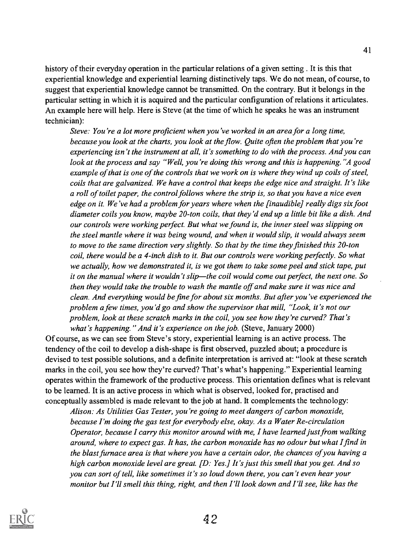history of their everyday operation in the particular relations of a given setting . It is this that experiential knowledge and experiential learning distinctively taps. We do not mean, of course, to suggest that experiential knowledge cannot be transmitted. On the contrary. But it belongs in the particular setting in which it is acquired and the particular configuration of relations it articulates. An example here will help. Here is Steve (at the time of which he speaks he was an instrument technician):

Steve: You're a lot more proficient when you've worked in an area for a long time, because you look at the charts, you look at the flow. Quite often the problem that you're experiencing isn't the instrument at all, it's something to do with the process. And you can look at the process and say "Well, you're doing this wrong and this is happening."A good example of that is one of the controls that we work on is where they wind up coils of steel, coils that are galvanized. We have a control that keeps the edge nice and straight. It's like a roll of toilet paper, the control follows where the strip is, so that you have a nice even edge on it. We've had a problem for years where when the [inaudible] really digs six foot diameter coils you know, maybe 20-ton coils, that they'd end up a little bit like a dish. And our controls were working perfect. But what we found is, the inner steel was slipping on the steel mantle where it was being wound, and when it would slip, it would always seem to move to the same direction very slightly. So that by the time they finished this 20-ton coil, there would be a 4-inch dish to it. But our controls were working perfectly. So what we actually, how we demonstrated it, is we got them to take some peel and stick tape, put it on the manual where it wouldn't slip—the coil would come out perfect, the next one. So then they would take the trouble to wash the mantle off and make sure it was nice and clean. And everything would be fine for about six months. But after you've experienced the problem a few times, you'd go and show the supervisor that mill, "Look, it's not our problem, look at these scratch marks in the coil, you see how they're curved? That's what's happening." And it's experience on the job. (Steve, January 2000)

Of course, as we can see from Steve's story, experiential learning is an active process. The tendency of the coil to develop a dish-shape is first observed, puzzled about; a procedure is devised to test possible solutions, and a definite interpretation is arrived at: "look at these scratch marks in the coil, you see how they're curved? That's what's happening." Experiential learning operates within the framework of the productive process. This orientation defines what is relevant to be learned. It is an active process in which what is observed, looked for, practised and conceptually assembled is made relevant to the job at hand. It complements the technology:

Alison: As Utilities Gas Tester, you're going to meet dangers of carbon monoxide, because I'm doing the gas test for everybody else, okay. As a Water Re-circulation Operator, because I carry this monitor around with me, I have learned just from walking around, where to expect gas. It has, the carbon monoxide has no odour but what I find in the blast furnace area is that where you have a certain odor, the chances of you having a high carbon monoxide level are great. [D: Yes.] It's just this smell that you get. And so you can sort of tell, like sometimes it's so loud down there, you can't even hear your monitor but I'll smell this thing, right, and then I'll look down and I'll see, like has the

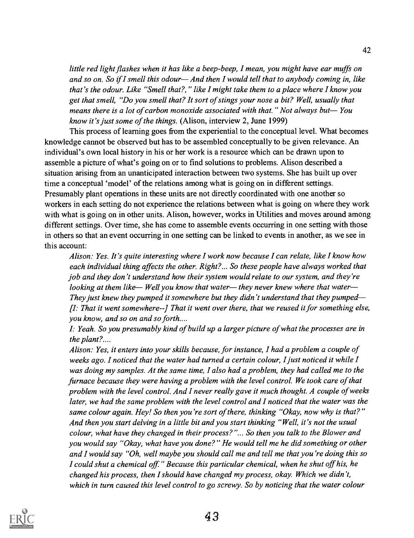little red light flashes when it has like a beep-beep, I mean, you might have ear muffs on and so on. So if I smell this odour- And then I would tell that to anybody coming in, like that's the odour. Like "Smell that?," like I might take them to a place where I know you get that smell, "Do you smell that? It sort of stings your nose a bit? Well, usually that means there is a lot of carbon monoxide associated with that." Not always but— You know it's just some of the things. (Alison, interview 2, June 1999)

This process of learning goes from the experiential to the conceptual level. What becomes knowledge cannot be observed but has to be assembled conceptually to be given relevance. An individual's own local history in his or her work is a resource which can be drawn upon to assemble a picture of what's going on or to find solutions to problems. Alison described a situation arising from an unanticipated interaction between two systems. She has built up over time a conceptual 'model' of the relations among what is going on in different settings. Presumably plant operations in these units are not directly coordinated with one another so workers in each setting do not experience the relations between what is going on where they work with what is going on in other units. Alison, however, works in Utilities and moves around among different settings. Over time, she has come to assemble events occurring in one setting with those in others so that an event occurring in one setting can be linked to events in another, as we see in this account:

Alison: Yes. It's quite interesting where I work now because I can relate, like I know how each individual thing affects the other. Right?... So these people have always worked that job and they don't understand how their system would relate to our system, and they're looking at them like— Well you know that water— they never knew where that water— They just knew they pumped it somewhere but they didn't understand that they pumped—  $\int I:$  That it went somewhere-- $\int$  That it went over there, that we reused it for something else, you know, and so on and so forth....

I: Yeah. So you presumably kind of build up a larger picture of what the processes are in the plant?....

Alison: Yes, it enters into your skills because, for instance, I had a problem a couple of weeks ago. I noticed that the water had turned a certain colour, I just noticed it while I was doing my samples. At the same time, I also had a problem, they had called me to the furnace because they were having a problem with the level control. We took care of that problem with the level control. And I never really gave it much thought. A couple of weeks later, we had the same problem with the level control and I noticed that the water was the same colour again. Hey! So then you're sort of there, thinking "Okay, now why is that?" And then you start delving in a little bit and you start thinking "Well, it's not the usual colour, what have they changed in their process? "... So then you talk to the Blower and you would say "Okay, what have you done?" He would tell me he did something or other and I would say "Oh, well maybe you should call me and tell me that you're doing this so I could shut a chemical off." Because this particular chemical, when he shut off his, he changed his process, then I should have changed my process, okay. Which we didn't, which in turn caused this level control to go screwy. So by noticing that the water colour

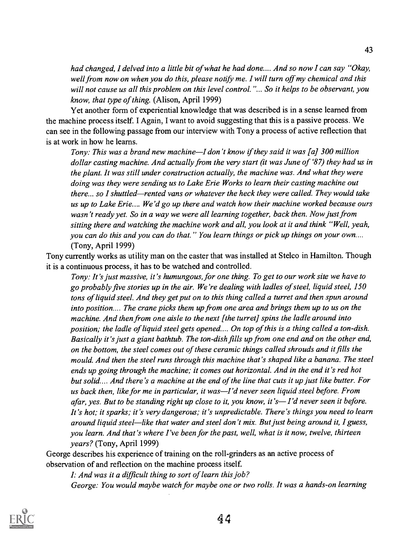had changed, I delved into a little bit of what he had done.... And so now I can say "Okay, well from now on when you do this, please notify me. I will turn off my chemical and this will not cause us all this problem on this level control."... So it helps to be observant, you know, that type of thing. (Alison, April 1999)

Yet another form of experiential knowledge that was described is in a sense learned from the machine process itself. I Again, I want to avoid suggesting that this is a passive process. We can see in the following passage from our interview with Tony a process of active reflection that is at work in how he learns.

Tony: This was a brand new machine—I don't know if they said it was [a] 300 million dollar casting machine. And actually from the very start (it was June of '87) they had us in the plant. It was still under construction actually, the machine was. And what they were doing was they were sending us to Lake Erie Works to learn their casting machine out there... so I shuttled—rented vans or whatever the heck they were called. They would take us up to Lake Erie.... We'd go up there and watch how their machine worked because ours wasn't ready yet. So in a way we were all learning together, back then. Now just from sitting there and watching the machine work and all, you look at it and think "Well, yeah, you can do this and you can do that." You learn things or pick up things on your own.... (Tony, April 1999)

Tony currently works as utility man on the caster that was installed at Stelco in Hamilton. Though it is a continuous process, it has to be watched and controlled.

Tony: It's just massive, it's humungous, for one thing. To get to our work site we have to go probably five stories up in the air. We're dealing with ladles of steel, liquid steel, 150 tons of liquid steel. And they get put on to this thing called a turret and then spun around into position.... The crane picks them up from one area and brings them up to us on the machine. And then from one aisle to the next [the turret] spins the ladle around into position; the ladle of liquid steel gets opened.... On top of this is a thing called a ton-dish. Basically it's just a giant bathtub. The ton-dish fills up from one end and on the other end, on the bottom, the steel comes out of these ceramic things called shrouds and it fills the mould. And then the steel runs through this machine that's shaped like a banana. The steel ends up going through the machine; it comes out horizontal. And in the end it's red hot but solid.... And there's a machine at the end of the line that cuts it up just like butter. For us back then, like for me in particular, it was—I'd never seen liquid steel before. From afar, yes. But to be standing right up close to it, you know, it's—I'd never seen it before. It's hot; it sparks; it 's very dangerous; it's unpredictable. There's things you need to learn around liquid steel—like that water and steel don't mix. But just being around it, I guess, you learn. And that's where I've been for the past, well, what is it now, twelve, thirteen years? (Tony, April 1999)

George describes his experience of training on the roll-grinders as an active process of observation of and reflection on the machine process itself.

I: And was it a difficult thing to sort of learn this job? George: You would maybe watch for maybe one or two rolls. It was a hands-on learning

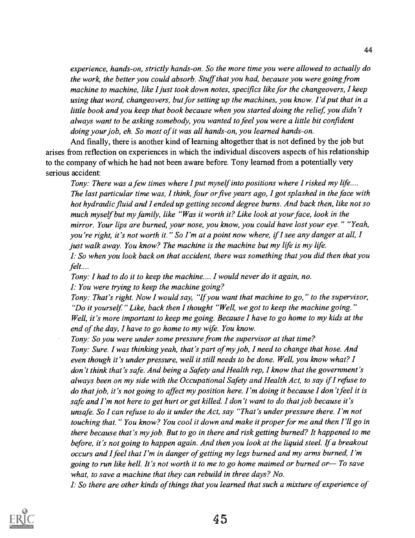experience, hands-on, strictly hands-on. So the more time you were allowed to actually do the work, the better you could absorb. Stuff that you had, because you were going from machine to machine, like I just took down notes, specifics like for the changeovers, I keep using that word, changeovers, but for setting up the machines, you know. I'd put that in a little book and you keep that book because when you started doing the relief, you didn't always want to be asking somebody, you wanted to feel you were a little bit confident doing your job, eh. So most of it was all hands-on, you learned hands-on.

And finally, there is another kind of learning altogether that is not defined by the job but arises from reflection on experiences in which the individual discovers aspects of his relationship to the company of which he had not been aware before. Tony learned from a potentially very serious accident:

Tony: There was a few times where I put myself into positions where I risked my life.... The last particular time was, I think, four or five years ago, I got splashed in the face with hot hydraulic fluid and I ended up getting second degree burns. And back then, like not so much myself but my family, like "Was it worth it? Like look at your face, look in the mirror. Your lips are burned, your nose, you know, you could have lost your eye." "Yeah, you're right, it's not worth it." So I'm at a point now where, if I see any danger at all, I just walk away. You know? The machine is the machine but my life is my life. I: So when you look back on that accident, there was something that you did then that you felt....

Tony: I had to do it to keep the machine.... I would never do it again, no. I: You were trying to keep the machine going?

Tony: That's right. Now I would say, "If you want that machine to go," to the supervisor, "Do it yourself." Like, back then I thought "Well, we got to keep the machine going." Well, it's more important to keep me going. Because I have to go home to my kids at the end of the day, I have to go home to my wife. You know.

Tony: So you were under some pressure from the supervisor at that time? Tony: Sure. I was thinking yeah, that's part of my job, I need to change that hose. And even though it's under pressure, well it still needs to be done. Well, you know what? I don't think that's safe. And being a Safety and Health rep, I know that the government's always been on my side with the Occupational Safety and Health Act, to say if I refuse to do that job, it's not going to affect my position here. I'm doing it because I don't feel it is safe and I'm not here to get hurt or get killed. I don't want to do that job because it's unsafe. So I can refuse to do it under the Act, say "That's under pressure there. I'm not touching that." You know? You cool it down and make it proper for me and then I'll go in there because that's my job. But to go in there and risk getting burned? It happened to me before, it's not going to happen again. And then you look at the liquid steel. If a breakout occurs and I feel that I'm in danger of getting my legs burned and my arms burned, I'm going to run like hell. It's not worth it to me to go home maimed or burned or  $-$  To save what, to save a machine that they can rebuild in three days? No.

I: So there are other kinds of things that you learned that such a mixture of experience of

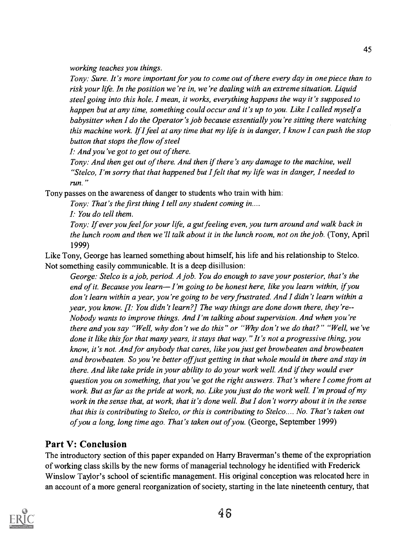working teaches you things.

Tony: Sure. It's more important for you to come out of there every day in one piece than to risk your life. In the position we're in, we're dealing with an extreme situation. Liquid steel going into this hole. I mean, it works, everything happens the way it's supposed to happen but at any time, something could occur and it's up to you. Like I called myself a babysitter when I do the Operator's job because essentially you're sitting there watching this machine work. If I feel at any time that my life is in danger, I know I can push the stop button that stops the flow of steel

I: And you've got to get out of there.

Tony: And then get out of there. And then if there's any damage to the machine, well "Stelco, I'm sorry that that happened but I felt that my life was in danger, I needed to run. "

Tony passes on the awareness of danger to students who train with him:

Tony: That's the first thing I tell any student coming in....

I: You do tell them.

Tony: If ever you feel for your life, a gut feeling even, you turn around and walk back in the lunch room and then we'll talk about it in the lunch room, not on the job. (Tony, April 1999)

Like Tony, George has learned something about himself, his life and his relationship to Stelco. Not something easily communicable. It is a deep disillusion:

George: Stelco is a job, period. A job. You do enough to save your posterior, that's the end of it. Because you learn— I'm going to be honest here, like you learn within, if you don't learn within a year, you're going to be very frustrated. And I didn't learn within a year, you know. [I: You didn't learn?] The way things are done down there, they're--Nobody wants to improve things. And I'm talking about supervision. And when you're there and you say "Well, why don't we do this" or "Why don't we do that?" "Well, we've done it like this for that many years, it stays that way." It's not a progressive thing, you know, it's not. And for anybody that cares, like you just get browbeaten and browbeaten and browbeaten. So you're better off just getting in that whole mould in there and stay in there. And like take pride in your ability to do your work well. And if they would ever question you on something, that you've got the right answers. That's where I come from at work. But as far as the pride at work, no. Like you just do the work well. I'm proud of my work in the sense that, at work, that it's done well. But I don't worry about it in the sense that this is contributing to Stelco, or this is contributing to Stelco.... No. That's taken out of you a long, long time ago. That's taken out of you. (George, September 1999)

#### Part V: Conclusion

The introductory section of this paper expanded on Harry Braverman's theme of the expropriation of working class skills by the new forms of managerial technology he identified with Frederick Winslow Taylor's school of scientific management. His original conception was relocated here in an account of a more general reorganization of society, starting in the late nineteenth century, that

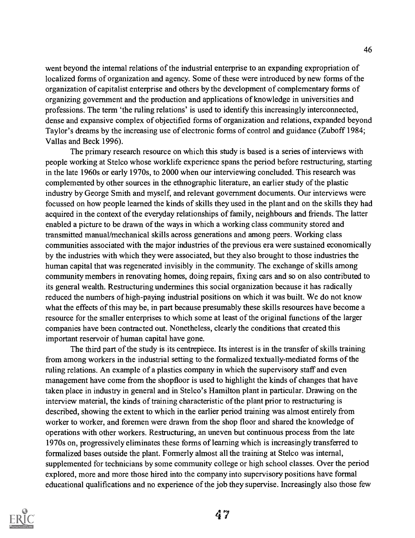went beyond the internal relations of the industrial enterprise to an expanding expropriation of localized forms of organization and agency. Some of these were introduced by new forms of the organization of capitalist enterprise and others by the development of complementary forms of organizing government and the production and applications of knowledge in universities and professions. The term 'the ruling relations' is used to identify this increasingly interconnected, dense and expansive complex of objectified forms of organization and relations, expanded beyond Taylor's dreams by the increasing use of electronic forms of control and guidance (Zuboff 1984; Vallas and Beck 1996).

The primary research resource on which this study is based is a series of interviews with people working at Stelco whose worklife experience spans the period before restructuring, starting in the late 1960s or early 1970s, to 2000 when our interviewing concluded. This research was complemented by other sources in the ethnographic literature, an earlier study of the plastic industry by George Smith and myself, and relevant government documents. Our interviews were focussed on how people learned the kinds of skills they used in the plant and on the skills they had acquired in the context of the everyday relationships of family, neighbours and friends. The latter enabled a picture to be drawn of the ways in which a working class community stored and transmitted manual/mechanical skills across generations and among peers. Working class communities associated with the major industries of the previous era were sustained economically by the industries with which they were associated, but they also brought to those industries the human capital that was regenerated invisibly in the community. The exchange of skills among community members in renovating homes, doing repairs, fixing cars and so on also contributed to its general wealth. Restructuring undermines this social organization because it has radically reduced the numbers of high-paying industrial positions on which it was built. We do not know what the effects of this may be, in part because presumably these skills resources have become a resource for the smaller enterprises to which some at least of the original functions of the larger companies have been contracted out. Nonetheless, clearly the conditions that created this important reservoir of human capital have gone.

The third part of the study is its centrepiece. Its interest is in the transfer of skills training from among workers in the industrial setting to the formalized textually-mediated forms of the ruling relations. An example of a plastics company in which the supervisory staff and even management have come from the shopfloor is used to highlight the kinds of changes that have taken place in industry in general and in Stelco's Hamilton plant in particular. Drawing on the interview material, the kinds of training characteristic of the plant prior to restructuring is described, showing the extent to which in the earlier period training was almost entirely from worker to worker, and foremen were drawn from the shop floor and shared the knowledge of operations with other workers. Restructuring, an uneven but continuous process from the late 1970s on, progressively eliminates these forms of learning which is increasingly transferred to formalized bases outside the plant. Formerly almost all the training at Stelco was internal, supplemented for technicians by some community college or high school classes. Over the period explored, more and more those hired into the company into supervisory positions have formal educational qualifications and no experience of the job they supervise. Increasingly also those few

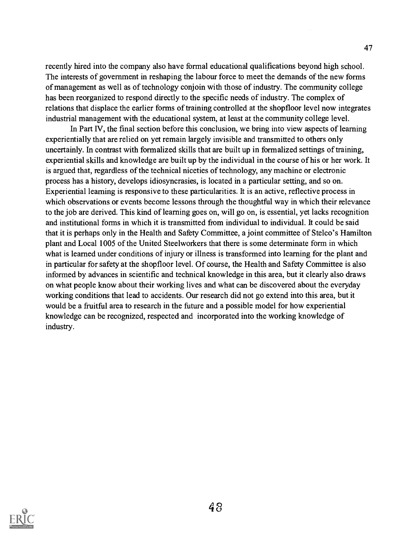recently hired into the company also have formal educational qualifications beyond high school. The interests of government in reshaping the labour force to meet the demands of the new forms of management as well as of technology conjoin with those of industry. The community college has been reorganized to respond directly to the specific needs of industry. The complex of relations that displace the earlier forms of training controlled at the shopfloor level now integrates industrial management with the educational system, at least at the community college level.

In Part IV, the final section before this conclusion, we bring into view aspects of learning experientially that are relied on yet remain largely invisible and transmitted to others only uncertainly. In contrast with formalized skills that are built up in formalized settings of training, experiential skills and knowledge are built up by the individual in the course of his or her work. It is argued that, regardless of the technical niceties of technology, any machine or electronic process has a history, develops idiosyncrasies, is located in a particular setting, and so on. Experiential learning is responsive to these particularities. It is an active, reflective process in which observations or events become lessons through the thoughtful way in which their relevance to the job are derived. This kind of learning goes on, will go on, is essential, yet lacks recognition and institutional forms in which it is transmitted from individual to individual. It could be said that it is perhaps only in the Health and Safety Committee, a joint committee of Stelco's Hamilton plant and Local 1005 of the United Steelworkers that there is some determinate form in which what is learned under conditions of injury or illness is transformed into learning for the plant and in particular for safety at the shopfloor level. Of course, the Health and Safety Committee is also informed by advances in scientific and technical knowledge in this area, but it clearly also draws on what people know about their working lives and what can be discovered about the everyday working conditions that lead to accidents. Our research did not go extend into this area, but it would be a fruitful area to research in the future and a possible model for how experiential knowledge can be recognized, respected and incorporated into the working knowledge of industry.

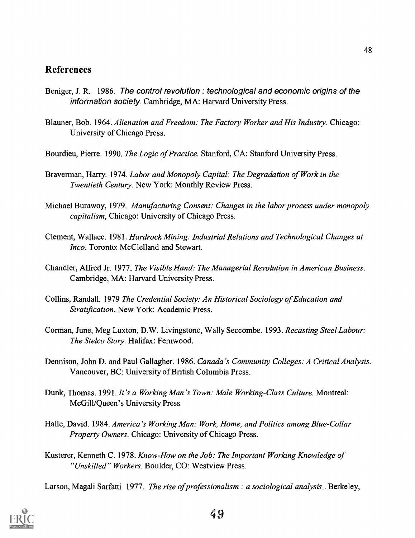#### References

- Beniger, J. R. 1986. The control revolution : technological and economic origins of the information society. Cambridge, MA: Harvard University Press.
- Blauner, Bob. 1964. Alienation and Freedom: The Factory Worker and His Industry. Chicago: University of Chicago Press.
- Bourdieu, Pierre. 1990. The Logic of Practice. Stanford, CA: Stanford University Press.
- Braverman, Harry. 1974. Labor and Monopoly Capital: The Degradation of Work in the Twentieth Century. New York: Monthly Review Press.
- Michael Burawoy, 1979. Manufacturing Consent: Changes in the labor process under monopoly capitalism, Chicago: University of Chicago Press.
- Clement, Wallace. 1981. Hardrock Mining: Industrial Relations and Technological Changes at Inco. Toronto: McClelland and Stewart.
- Chandler, Alfred Jr. 1977. The Visible Hand: The Managerial Revolution in American Business. Cambridge, MA: Harvard University Press.
- Collins, Randall. 1979 The Credential Society: An Historical Sociology of Education and Stratification. New York: Academic Press.
- Corman, June, Meg Luxton, D.W. Livingstone, Wally Seccombe. 1993. Recasting Steel Labour: The Stelco Story. Halifax: Fernwood.
- Dennison, John D. and Paul Gallagher. 1986. Canada's Community Colleges: A Critical Analysis. Vancouver, BC: University of British Columbia Press.
- Dunk, Thomas. 1991. It's a Working Man's Town: Male Working-Class Culture. Montreal: McGill/Queen's University Press
- Halle, David. 1984. America's Working Man: Work, Home, and Politics among Blue-Collar Property Owners. Chicago: University of Chicago Press.
- Kusterer, Kenneth C. 1978. Know-How on the Job: The Important Working Knowledge of "Unskilled" Workers. Boulder, CO: Westview Press.

Larson, Magali Sarfatti 1977. The rise of professionalism : a sociological analysis Berkeley,

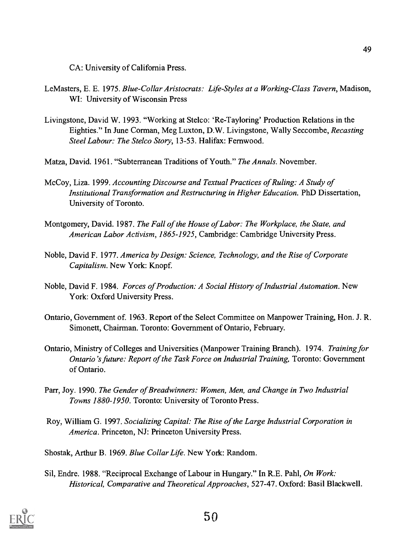CA: University of California Press.

- Le Masters, E. E. 1975. Blue-Collar Aristocrats: Life-Styles at a Working-Class Tavern, Madison, WI: University of Wisconsin Press
- Livingstone, David W. 1993. "Working at Stelco: 'Re-Tayloring' Production Relations in the Eighties." In June Corman, Meg Luxton, D.W. Livingstone, Wally Seccombe, Recasting Steel Labour: The Stelco Story, 13-53. Halifax: Fernwood.
- Matza, David. 1961. "Subterranean Traditions of Youth." The Annals. November.
- McCoy, Liza. 1999. Accounting Discourse and Textual Practices of Ruling: A Study of Institutional Transformation and Restructuring in Higher Education. PhD Dissertation, University of Toronto.
- Montgomery, David. 1987. The Fall of the House of Labor: The Workplace, the State, and American Labor Activism, 1865-1925, Cambridge: Cambridge University Press.
- Noble, David F. 1977. America by Design: Science, Technology, and the Rise of Corporate Capitalism. New York: Knopf.
- Noble, David F. 1984. Forces of Production: A Social History of Industrial Automation. New York: Oxford University Press.
- Ontario, Government of. 1963. Report of the Select Committee on Manpower Training, Hon. J. R. Simonett, Chairman. Toronto: Government of Ontario, February.
- Ontario, Ministry of Colleges and Universities (Manpower Training Branch). 1974. Training for Ontario's future: Report of the Task Force on Industrial Training, Toronto: Government of Ontario.
- Parr, Joy. 1990. The Gender of Breadwinners: Women, Men, and Change in Two Industrial Towns 1880-1950. Toronto: University of Toronto Press.
- Roy, William G. 1997. Socializing Capital: The Rise of the Large Industrial Corporation in America. Princeton, NJ: Princeton University Press.

Shostak, Arthur B. 1969. Blue Collar Life. New York: Random.

Sil, Endre. 1988. "Reciprocal Exchange of Labour in Hungary." In R.E. Pahl, On Work: Historical, Comparative and Theoretical Approaches, 527-47. Oxford: Basil Blackwell.

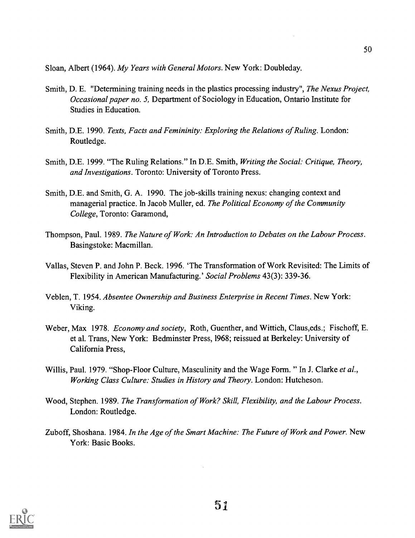Sloan, Albert (1964). My Years with General Motors. New York: Doubleday.

- Smith, D. E. "Determining training needs in the plastics processing industry", The Nexus Project, Occasional paper no. 5, Department of Sociology in Education, Ontario Institute for Studies in Education.
- Smith, D.E. 1990. Texts, Facts and Femininity: Exploring the Relations of Ruling. London: Routledge.
- Smith, D.E. 1999. "The Ruling Relations." In D.E. Smith, Writing the Social: Critique, Theory, and Investigations. Toronto: University of Toronto Press.
- Smith, D.E. and Smith, G. A. 1990. The job-skills training nexus: changing context and managerial practice. In Jacob Muller, ed. The Political Economy of the Community College, Toronto: Garamond,
- Thompson, Paul. 1989. The Nature of Work: An Introduction to Debates on the Labour Process. Basingstoke: Macmillan.
- Vallas, Steven P. and John P. Beck. 1996. 'The Transformation of Work Revisited: The Limits of Flexibility in American Manufacturing.' Social Problems 43(3): 339-36.
- Veblen, T. 1954. Absentee Ownership and Business Enterprise in Recent Times. New York: Viking.
- Weber, Max 1978. Economy and society, Roth, Guenther, and Wittich, Claus, eds.; Fischoff, E. et al. Trans, New York: Bedminster Press, 1968; reissued at Berkeley: University of California Press,
- Willis, Paul. 1979. "Shop-Floor Culture, Masculinity and the Wage Form. " In J. Clarke et al., Working Class Culture: Studies in History and Theory. London: Hutcheson.
- Wood, Stephen. 1989. The Transformation of Work? Skill, Flexibility, and the Labour Process. London: Routledge.
- Zuboff, Shoshana. 1984. In the Age of the Smart Machine: The Future of Work and Power. New York: Basic Books.